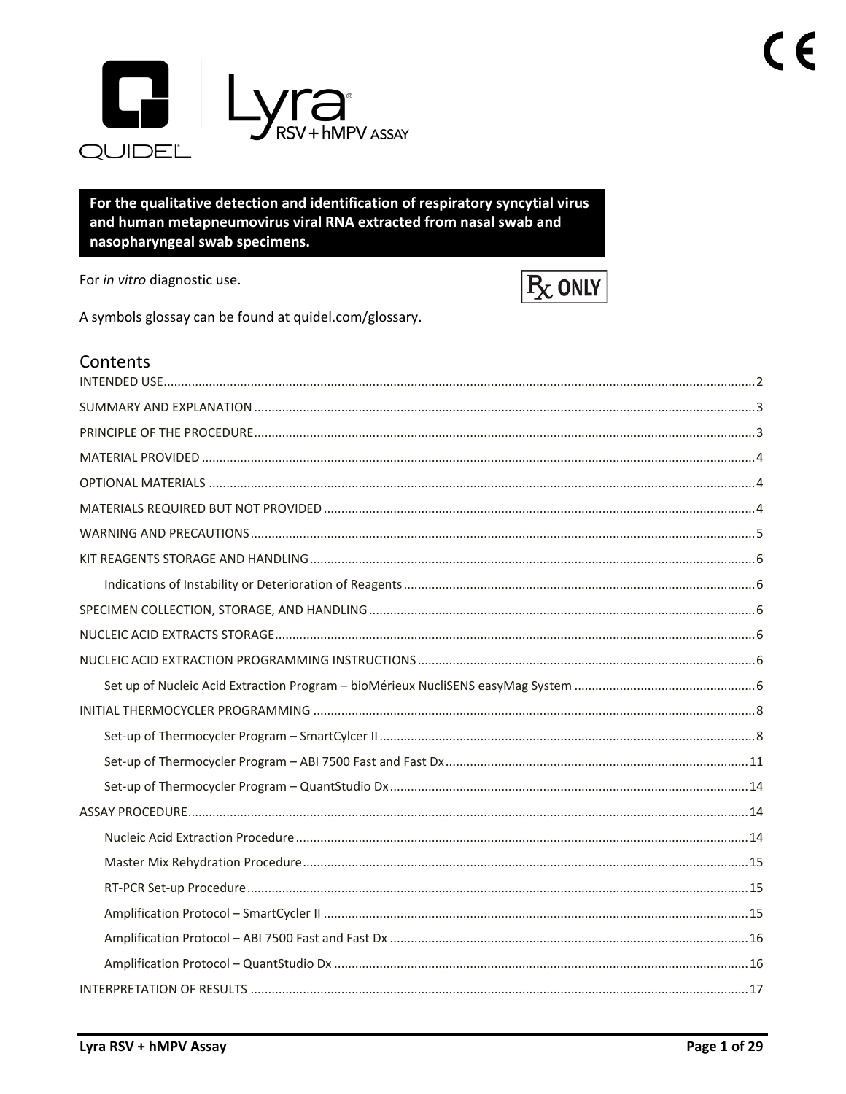

For the qualitative detection and identification of respiratory syncytial virus and human metapneumovirus viral RNA extracted from nasal swab and nasopharyngeal swab specimens.

For in vitro diagnostic use.



A symbols glossay can be found at quidel.com/glossary.

| Contents |  |
|----------|--|
|          |  |
|          |  |
|          |  |
|          |  |
|          |  |
|          |  |
|          |  |
|          |  |
|          |  |
|          |  |
|          |  |
|          |  |
|          |  |
|          |  |
|          |  |
|          |  |
|          |  |
|          |  |
|          |  |
|          |  |
|          |  |
|          |  |
|          |  |
|          |  |
|          |  |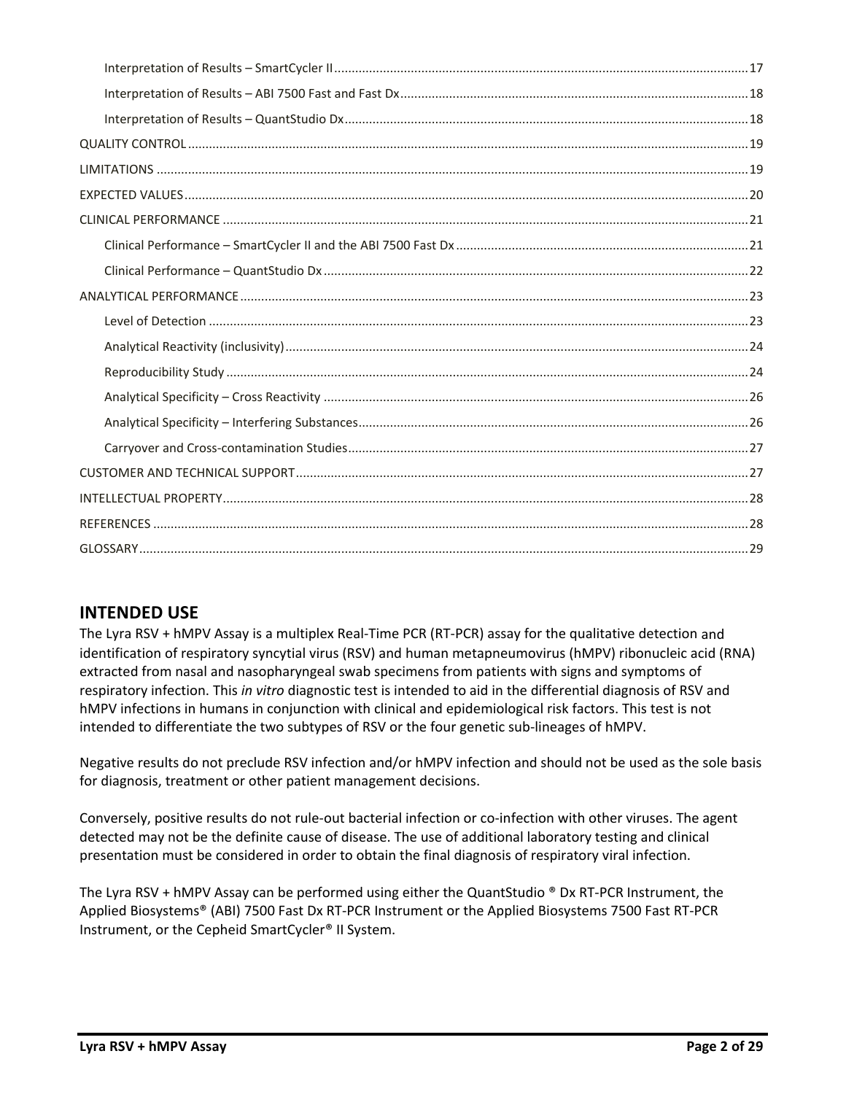# **INTENDED USE**

The Lyra RSV + hMPV Assay is a multiplex Real‐Time PCR (RT‐PCR) assay for the qualitative detection and identification of respiratory syncytial virus (RSV) and human metapneumovirus (hMPV) ribonucleic acid (RNA) extracted from nasal and nasopharyngeal swab specimens from patients with signs and symptoms of respiratory infection. This *in vitro* diagnostic test is intended to aid in the differential diagnosis of RSV and hMPV infections in humans in conjunction with clinical and epidemiological risk factors. This test is not intended to differentiate the two subtypes of RSV or the four genetic sub‐lineages of hMPV.

Negative results do not preclude RSV infection and/or hMPV infection and should not be used as the sole basis for diagnosis, treatment or other patient management decisions.

Conversely, positive results do not rule‐out bacterial infection or co‐infection with other viruses. The agent detected may not be the definite cause of disease. The use of additional laboratory testing and clinical presentation must be considered in order to obtain the final diagnosis of respiratory viral infection.

The Lyra RSV + hMPV Assay can be performed using either the QuantStudio  $\degree$  Dx RT-PCR Instrument, the Applied Biosystems® (ABI) 7500 Fast Dx RT‐PCR Instrument or the Applied Biosystems 7500 Fast RT-PCR Instrument, or the Cepheid SmartCycler® II System.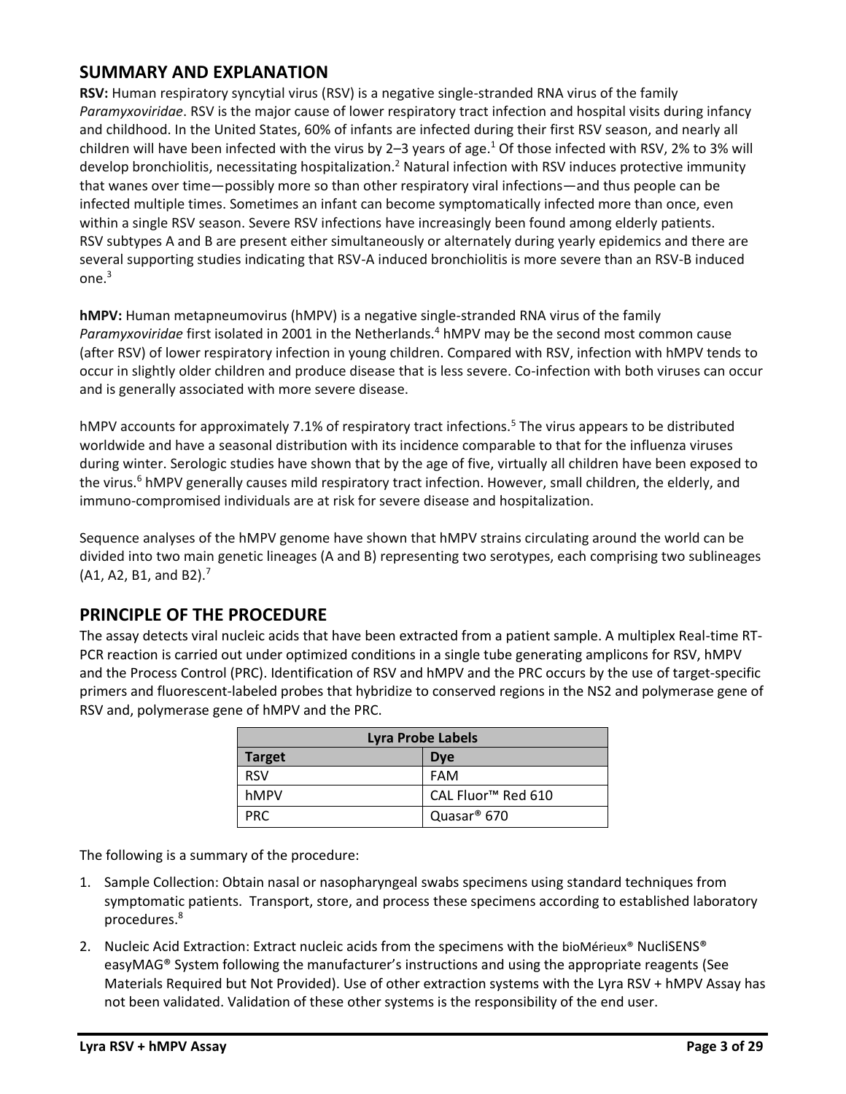### **SUMMARY AND EXPLANATION**

**RSV:** Human respiratory syncytial virus (RSV) is a negative single-strande[d RNA virus](http://en.wikipedia.org/wiki/RNA_virus) of the family *[Paramyxoviridae](http://en.wikipedia.org/wiki/Paramyxoviridae)*. RSV is the major cause of lower respiratory tract infection and hospital visits during infancy and childhood. In the United States, 60% of infants are infected during their first RSV season, and nearly all children will have been infected with the virus by 2–3 years of age.<sup>1</sup> Of those infected with RSV, 2% to 3% will develop [bronchiolitis,](http://en.wikipedia.org/wiki/Bronchiolitis) necessitating hospitalization.<sup>2</sup> Natural infection with RSV induces protective immunity that wanes over time—possibly more so than other respiratory viral infections—and thus people can be infected multiple times. Sometimes an infant can become symptomatically infected more than once, even within a single RSV season. Severe RSV infections have increasingly been found among elderly patients. RSV subtypes A and B are present either simultaneously or alternately during yearly epidemics and there are several supporting studies indicating that RSV-A induced bronchiolitis is more severe than an RSV-B induced  $one<sup>3</sup>$ 

**hMPV:** Human metapneumovirus (hMPV) is a negative single-stranded [RNA](http://en.wikipedia.org/wiki/RNA) [virus](http://en.wikipedia.org/wiki/Virus) of the family *[Paramyxoviridae](http://en.wikipedia.org/wiki/Paramyxoviridae)* first isolated in 2001 in the Netherlands.<sup>4</sup> hMPV may be the second most common cause (after RSV) of lower respiratory infection in young children. Compared with RSV, infection with hMPV tends to occur in slightly older children and produce disease that is less severe. Co-infection with both viruses can occur and is generally associated with more severe disease.

hMPV accounts for approximately 7.1% of respiratory tract infections.<sup>5</sup> The virus appears to be distributed worldwide and have a seasonal distribution with its incidence comparable to that for the [influenza](http://en.wikipedia.org/wiki/Influenza) viruses during winter. [Serologic](http://en.wikipedia.org/wiki/Serologic) studies have shown that by the age of five, virtually all children have been exposed to the virus.<sup>6</sup> hMPV generally causes mild respiratory tract infection. However, small children, the elderly, and immuno-compromised individuals are at risk for severe disease and hospitalization.

Sequence analyses of the hMPV genome have shown that hMPV strains circulating around the world can be divided into two main genetic lineages (A and B) representing two serotypes, each comprising two sublineages  $(A1, A2, B1, and B2).$ <sup>7</sup>

### **PRINCIPLE OF THE PROCEDURE**

The assay detects viral nucleic acids that have been extracted from a patient sample. A multiplex Real-time RT-PCR reaction is carried out under optimized conditions in a single tube generating amplicons for RSV, hMPV and the Process Control (PRC). Identification of RSV and hMPV and the PRC occurs by the use of target-specific primers and fluorescent-labeled probes that hybridize to conserved regions in the NS2 and polymerase gene of RSV and, polymerase gene of hMPV and the PRC.

| <b>Lyra Probe Labels</b>    |                                |  |  |  |  |  |  |
|-----------------------------|--------------------------------|--|--|--|--|--|--|
| <b>Target</b><br><b>Dye</b> |                                |  |  |  |  |  |  |
| <b>RSV</b>                  | FAM                            |  |  |  |  |  |  |
| hMPV                        | CAL Fluor <sup>™</sup> Red 610 |  |  |  |  |  |  |
| PRC.                        | Quasar <sup>®</sup> 670        |  |  |  |  |  |  |

The following is a summary of the procedure:

- 1. Sample Collection: Obtain nasal or nasopharyngeal swabs specimens using standard techniques from symptomatic patients. Transport, store, and process these specimens according to established laboratory procedures.<sup>8</sup>
- 2. Nucleic Acid Extraction: Extract nucleic acids from the specimens with the bioMérieux® NucliSENS® easyMAG® System following the manufacturer's instructions and using the appropriate reagents (See Materials Required but Not Provided). Use of other extraction systems with the Lyra RSV + hMPV Assay has not been validated. Validation of these other systems is the responsibility of the end user.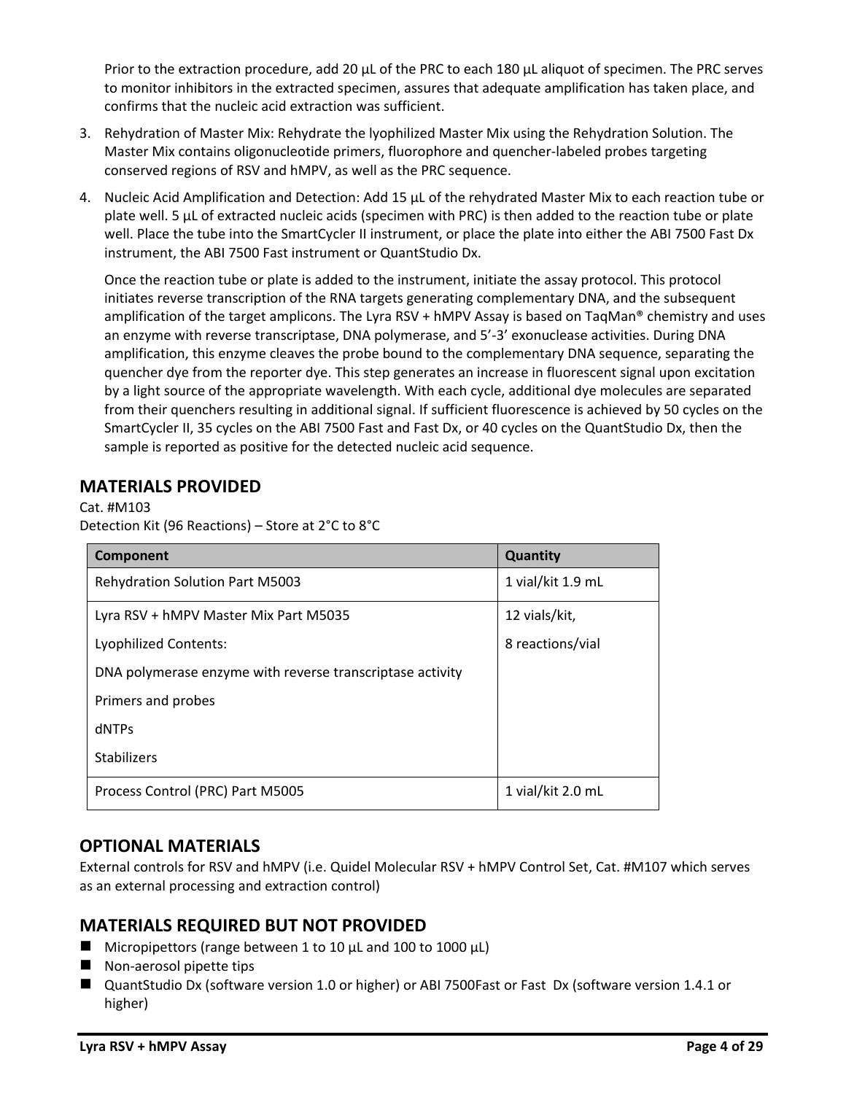Prior to the extraction procedure, add 20  $\mu$ L of the PRC to each 180  $\mu$ L aliquot of specimen. The PRC serves to monitor inhibitors in the extracted specimen, assures that adequate amplification has taken place, and confirms that the nucleic acid extraction was sufficient.

- 3. Rehydration of Master Mix: Rehydrate the lyophilized Master Mix using the Rehydration Solution. The Master Mix contains oligonucleotide primers, fluorophore and quencher-labeled probes targeting conserved regions of RSV and hMPV, as well as the PRC sequence.
- 4. Nucleic Acid Amplification and Detection: Add 15 µL of the rehydrated Master Mix to each reaction tube or plate well. 5 µL of extracted nucleic acids (specimen with PRC) is then added to the reaction tube or plate well. Place the tube into the SmartCycler II instrument, or place the plate into either the ABI 7500 Fast Dx instrument, the ABI 7500 Fast instrument or QuantStudio Dx.

Once the reaction tube or plate is added to the instrument, initiate the assay protocol. This protocol initiates reverse transcription of the RNA targets generating complementary DNA, and the subsequent amplification of the target amplicons. The Lyra RSV + hMPV Assay is based on TaqMan® chemistry and uses an enzyme with reverse transcriptase, DNA polymerase, and 5'-3' exonuclease activities. During DNA amplification, this enzyme cleaves the probe bound to the complementary DNA sequence, separating the quencher dye from the reporter dye. This step generates an increase in fluorescent signal upon excitation by a light source of the appropriate wavelength. With each cycle, additional dye molecules are separated from their quenchers resulting in additional signal. If sufficient fluorescence is achieved by 50 cycles on the SmartCycler II, 35 cycles on the ABI 7500 Fast and Fast Dx, or 40 cycles on the QuantStudio Dx, then the sample is reported as positive for the detected nucleic acid sequence.

# **MATERIALS PROVIDED**

Cat. #M103 Detection Kit (96 Reactions) – Store at 2°C to 8°C

| Component                                                 | Quantity          |
|-----------------------------------------------------------|-------------------|
| <b>Rehydration Solution Part M5003</b>                    | 1 vial/kit 1.9 mL |
| Lyra RSV + hMPV Master Mix Part M5035                     | 12 vials/kit,     |
| Lyophilized Contents:                                     | 8 reactions/vial  |
| DNA polymerase enzyme with reverse transcriptase activity |                   |
| Primers and probes                                        |                   |
| dNTPs                                                     |                   |
| <b>Stabilizers</b>                                        |                   |
| Process Control (PRC) Part M5005                          | 1 vial/kit 2.0 mL |

### **OPTIONAL MATERIALS**

External controls for RSV and hMPV (i.e. Quidel Molecular RSV + hMPV Control Set, Cat. #M107 which serves as an external processing and extraction control)

# **MATERIALS REQUIRED BUT NOT PROVIDED**

- $\blacksquare$  Micropipettors (range between 1 to 10 μL and 100 to 1000 μL)
- Non-aerosol pipette tips
- QuantStudio Dx (software version 1.0 or higher) or ABI 7500Fast or Fast Dx (software version 1.4.1 or higher)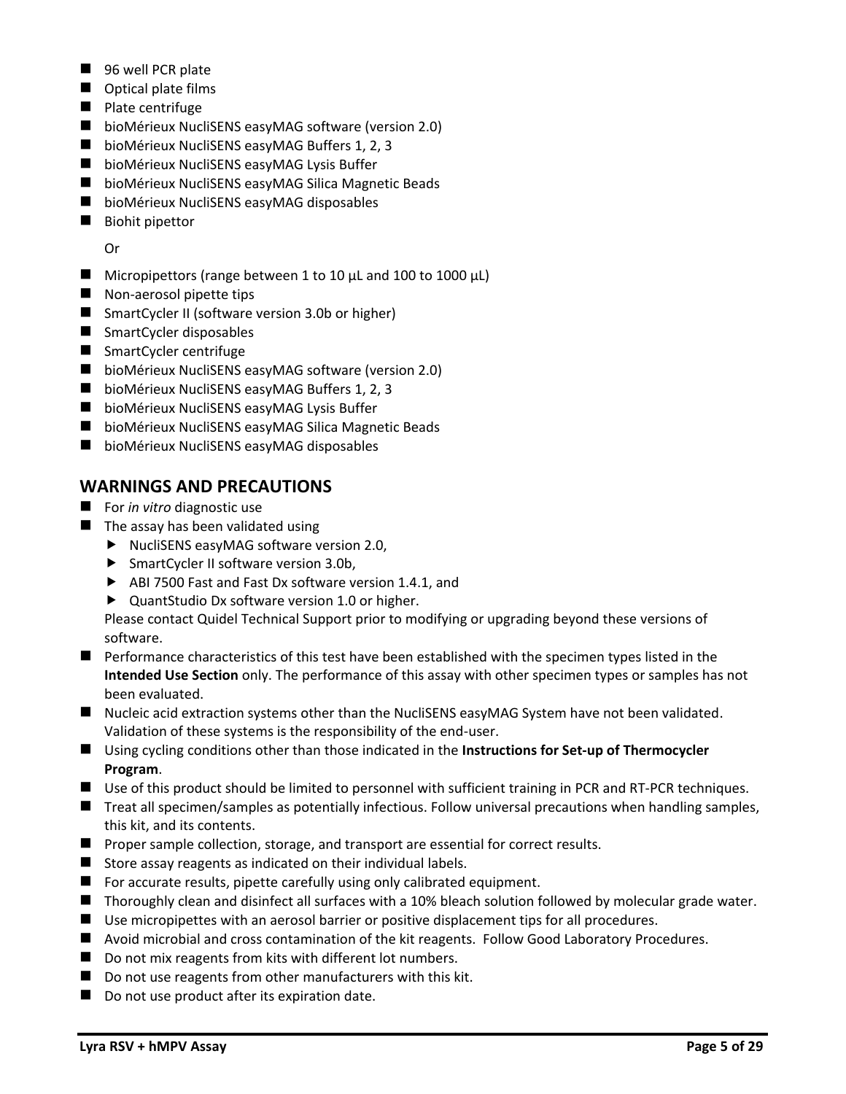- 96 well PCR plate
- Optical plate films
- Plate centrifuge
- bioMérieux NucliSENS easyMAG software (version 2.0)
- bioMérieux NucliSENS easyMAG Buffers 1, 2, 3
- bioMérieux NucliSENS easyMAG Lysis Buffer
- bioMérieux NucliSENS easyMAG Silica Magnetic Beads
- bioMérieux NucliSENS easyMAG disposables
- Biohit pipettor

Or

- $\blacksquare$  Micropipettors (range between 1 to 10 μL and 100 to 1000 μL)
- Non-aerosol pipette tips
- SmartCycler II (software version 3.0b or higher)
- SmartCycler disposables
- SmartCycler centrifuge
- bioMérieux NucliSENS easyMAG software (version 2.0)
- bioMérieux NucliSENS easyMAG Buffers 1, 2, 3
- bioMérieux NucliSENS easyMAG Lysis Buffer
- bioMérieux NucliSENS easyMAG Silica Magnetic Beads
- bioMérieux NucliSENS easyMAG disposables

### **WARNINGS AND PRECAUTIONS**

- For *in vitro* diagnostic use
- $\blacksquare$  The assay has been validated using
	- ▶ NucliSENS easyMAG software version 2.0,
	- ▶ SmartCycler II software version 3.0b,
	- ▶ ABI 7500 Fast and Fast Dx software version 1.4.1, and
	- ▶ QuantStudio Dx software version 1.0 or higher.

Please contact Quidel Technical Support prior to modifying or upgrading beyond these versions of software.

- Performance characteristics of this test have been established with the specimen types listed in the **Intended Use Section** only. The performance of this assay with other specimen types or samples has not been evaluated.
- Nucleic acid extraction systems other than the NucliSENS easyMAG System have not been validated. Validation of these systems is the responsibility of the end-user.
- Using cycling conditions other than those indicated in the **Instructions for Set-up of Thermocycler Program**.
- Use of this product should be limited to personnel with sufficient training in PCR and RT-PCR techniques.
- Treat all specimen/samples as potentially infectious. Follow universal precautions when handling samples, this kit, and its contents.
- Proper sample collection, storage, and transport are essential for correct results.
- Store assay reagents as indicated on their individual labels.
- For accurate results, pipette carefully using only calibrated equipment.
- Thoroughly clean and disinfect all surfaces with a 10% bleach solution followed by molecular grade water.
- Use micropipettes with an aerosol barrier or positive displacement tips for all procedures.
- Avoid microbial and cross contamination of the kit reagents. Follow Good Laboratory Procedures.
- Do not mix reagents from kits with different lot numbers.
- Do not use reagents from other manufacturers with this kit.
- Do not use product after its expiration date.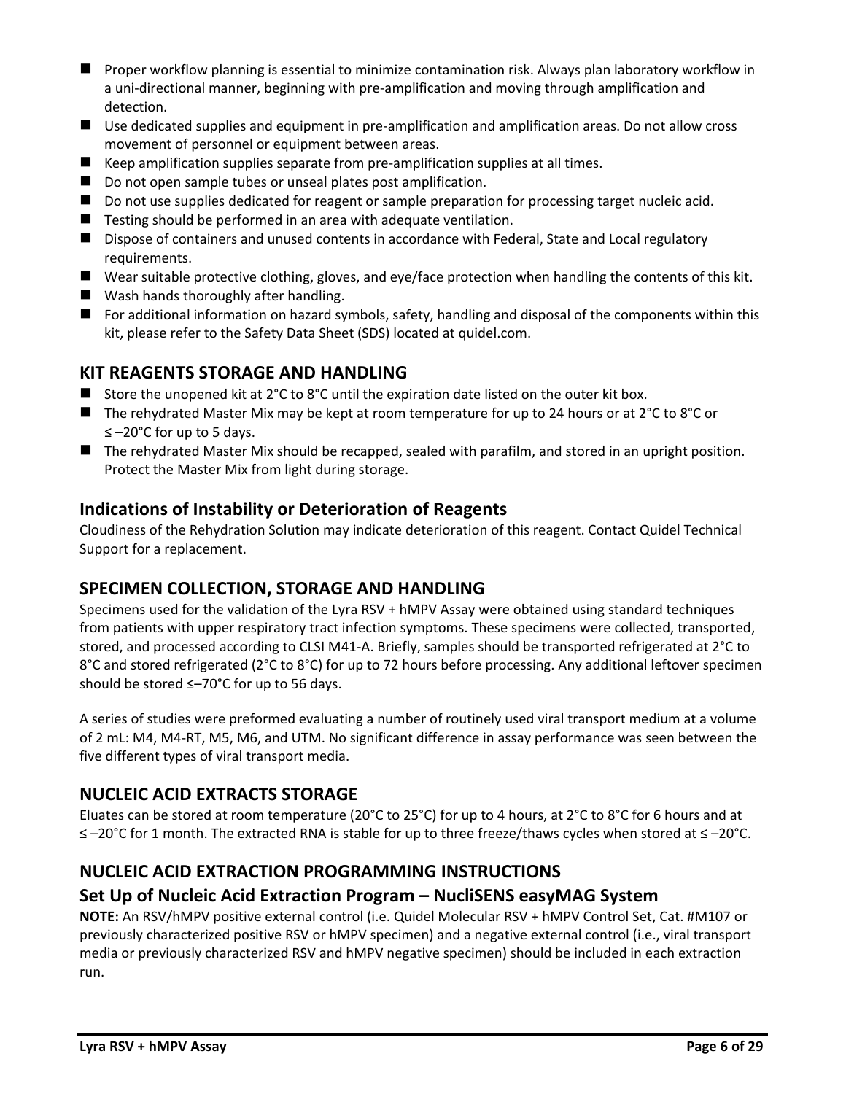- Proper workflow planning is essential to minimize contamination risk. Always plan laboratory workflow in a uni-directional manner, beginning with pre-amplification and moving through amplification and detection.
- Use dedicated supplies and equipment in pre-amplification and amplification areas. Do not allow cross movement of personnel or equipment between areas.
- $\blacksquare$  Keep amplification supplies separate from pre-amplification supplies at all times.
- Do not open sample tubes or unseal plates post amplification.
- Do not use supplies dedicated for reagent or sample preparation for processing target nucleic acid.
- Testing should be performed in an area with adequate ventilation.
- Dispose of containers and unused contents in accordance with Federal, State and Local regulatory requirements.
- Wear suitable protective clothing, gloves, and eye/face protection when handling the contents of this kit.
- Wash hands thoroughly after handling.
- For additional information on hazard symbols, safety, handling and disposal of the components within this kit, please refer to the Safety Data Sheet (SDS) located at quidel.com.

### **KIT REAGENTS STORAGE AND HANDLING**

- Store the unopened kit at  $2^{\circ}$ C to  $8^{\circ}$ C until the expiration date listed on the outer kit box.
- The rehydrated Master Mix may be kept at room temperature for up to 24 hours or at 2°C to 8°C or ≤ –20°C for up to 5 days.
- The rehydrated Master Mix should be recapped, sealed with parafilm, and stored in an upright position. Protect the Master Mix from light during storage.

### **Indications of Instability or Deterioration of Reagents**

Cloudiness of the Rehydration Solution may indicate deterioration of this reagent. Contact Quidel Technical Support for a replacement.

### **SPECIMEN COLLECTION, STORAGE AND HANDLING**

Specimens used for the validation of the Lyra RSV + hMPV Assay were obtained using standard techniques from patients with upper respiratory tract infection symptoms. These specimens were collected, transported, stored, and processed according to CLSI M41-A. Briefly, samples should be transported refrigerated at 2°C to 8°C and stored refrigerated (2°C to 8°C) for up to 72 hours before processing. Any additional leftover specimen should be stored ≤–70°C for up to 56 days.

A series of studies were preformed evaluating a number of routinely used viral transport medium at a volume of 2 mL: M4, M4-RT, M5, M6, and UTM. No significant difference in assay performance was seen between the five different types of viral transport media.

# **NUCLEIC ACID EXTRACTS STORAGE**

Eluates can be stored at room temperature (20°C to 25°C) for up to 4 hours, at 2°C to 8°C for 6 hours and at ≤ –20°C for 1 month. The extracted RNA is stable for up to three freeze/thaws cycles when stored at ≤ –20°C.

# **NUCLEIC ACID EXTRACTION PROGRAMMING INSTRUCTIONS**

### **Set Up of Nucleic Acid Extraction Program – NucliSENS easyMAG System**

**NOTE:** An RSV/hMPV positive external control (i.e. Quidel Molecular RSV + hMPV Control Set, Cat. #M107 or previously characterized positive RSV or hMPV specimen) and a negative external control (i.e., viral transport media or previously characterized RSV and hMPV negative specimen) should be included in each extraction run.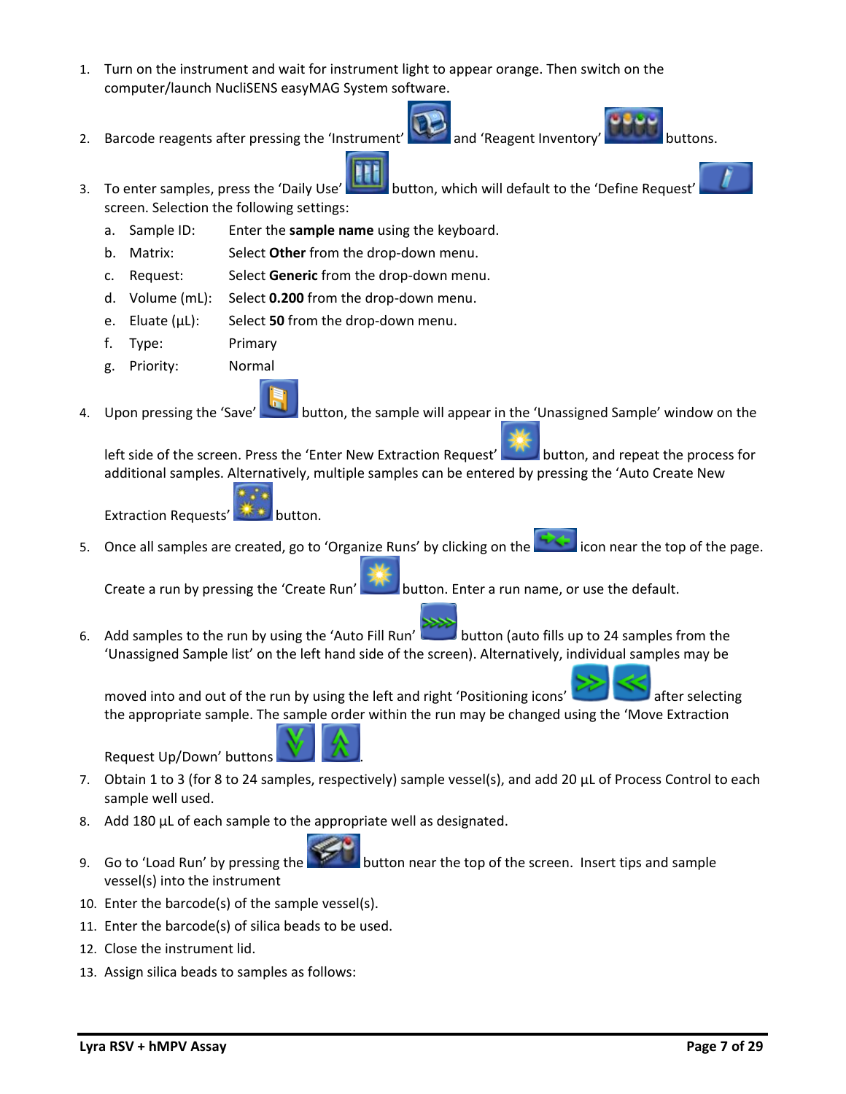- 1. Turn on the instrument and wait for instrument light to appear orange. Then switch on the computer/launch NucliSENS easyMAG System software.
- 2. Barcode reagents after pressing the 'Instrument' and 'Reagent Inventory' buttons.



- 3. To enter samples, press the 'Daily Use' button, which will default to the 'Define Request' screen. Selection the following settings:
	- a. Sample ID: Enter the **sample name** using the keyboard.
	- b. Matrix: Select **Other** from the drop-down menu.
	- c. Request: Select **Generic** from the drop-down menu.
	- d. Volume (mL): Select **0.200** from the drop-down menu.
	- e. Eluate (µL): Select **50** from the drop-down menu.
	- f. Type: Primary
	- g. Priority: Normal
- 4. Upon pressing the 'Save' button, the sample will appear in the 'Unassigned Sample' window on the

left side of the screen. Press the 'Enter New Extraction Request' button, and repeat the process for additional samples. Alternatively, multiple samples can be entered by pressing the 'Auto Create New

Extraction Requests' **AND** button.

5. Once all samples are created, go to 'Organize Runs' by clicking on the **interpolate in the top of the page.** 

Create a run by pressing the 'Create Run' button. Enter a run name, or use the default.

6. Add samples to the run by using the 'Auto Fill Run' button (auto fills up to 24 samples from the 'Unassigned Sample list' on the left hand side of the screen). Alternatively, individual samples may be

moved into and out of the run by using the left and right 'Positioning icons' after selecting the appropriate sample. The sample order within the run may be changed using the 'Move Extraction

Request Up/Down' buttons .

- 7. Obtain 1 to 3 (for 8 to 24 samples, respectively) sample vessel(s), and add 20  $\mu$ L of Process Control to each sample well used.
- 8. Add 180 µL of each sample to the appropriate well as designated.
- 9. Go to 'Load Run' by pressing the button near the top of the screen. Insert tips and sample vessel(s) into the instrument
- 10. Enter the barcode(s) of the sample vessel(s).
- 11. Enter the barcode(s) of silica beads to be used.
- 12. Close the instrument lid.
- 13. Assign silica beads to samples as follows:



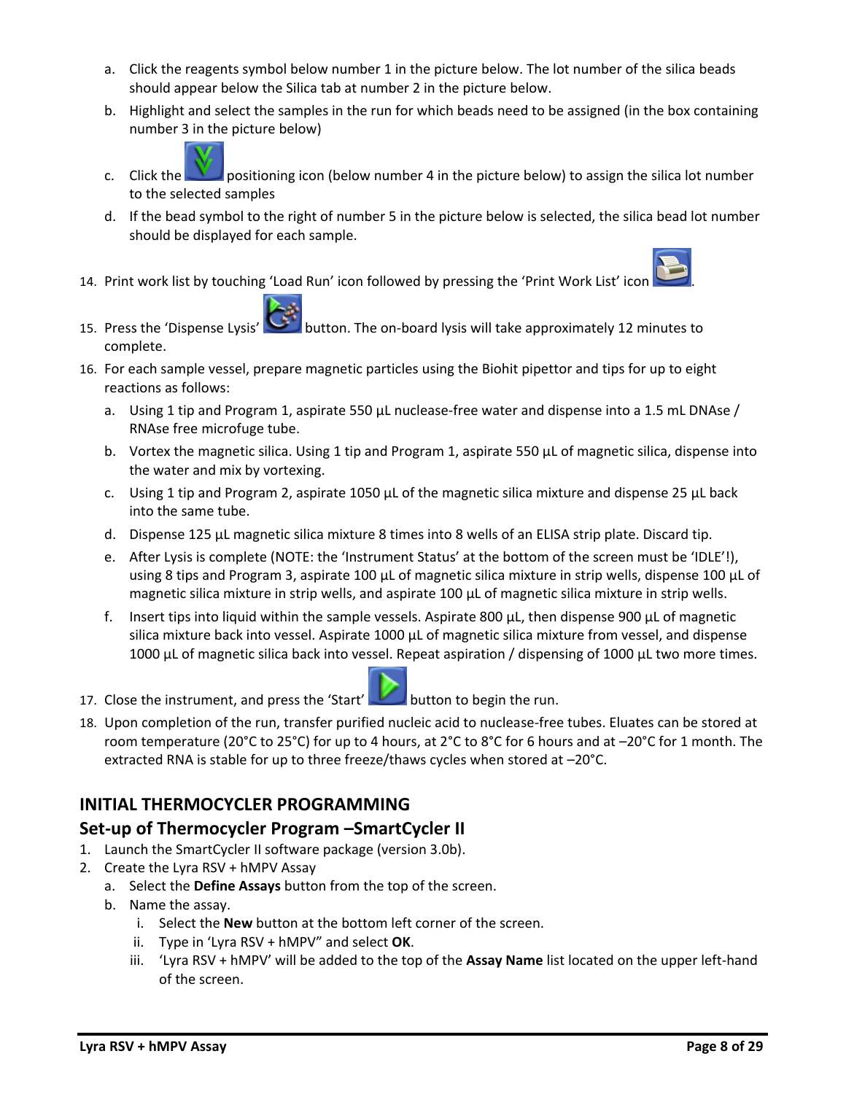- a. Click the reagents symbol below number 1 in the picture below. The lot number of the silica beads should appear below the Silica tab at number 2 in the picture below.
- b. Highlight and select the samples in the run for which beads need to be assigned (in the box containing number 3 in the picture below)



- c. Click the **positioning icon (below number 4 in the picture below)** to assign the silica lot number to the selected samples
- d. If the bead symbol to the right of number 5 in the picture below is selected, the silica bead lot number should be displayed for each sample.
- 14. Print work list by touching 'Load Run' icon followed by pressing the 'Print Work List' icon .



- 15. Press the 'Dispense Lysis' button. The on-board lysis will take approximately 12 minutes to complete.
- 16. For each sample vessel, prepare magnetic particles using the Biohit pipettor and tips for up to eight reactions as follows:
	- a. Using 1 tip and Program 1, aspirate 550  $\mu$ L nuclease-free water and dispense into a 1.5 mL DNAse / RNAse free microfuge tube.
	- b. Vortex the magnetic silica. Using 1 tip and Program 1, aspirate 550 µL of magnetic silica, dispense into the water and mix by vortexing.
	- c. Using 1 tip and Program 2, aspirate 1050  $\mu$ L of the magnetic silica mixture and dispense 25  $\mu$ L back into the same tube.
	- d. Dispense 125 µL magnetic silica mixture 8 times into 8 wells of an ELISA strip plate. Discard tip.
	- e. After Lysis is complete (NOTE: the 'Instrument Status' at the bottom of the screen must be 'IDLE'!), using 8 tips and Program 3, aspirate 100 µL of magnetic silica mixture in strip wells, dispense 100 µL of magnetic silica mixture in strip wells, and aspirate 100 µL of magnetic silica mixture in strip wells.
	- f. Insert tips into liquid within the sample vessels. Aspirate 800  $\mu$ L, then dispense 900  $\mu$ L of magnetic silica mixture back into vessel. Aspirate 1000 µL of magnetic silica mixture from vessel, and dispense 1000 µL of magnetic silica back into vessel. Repeat aspiration / dispensing of 1000 µL two more times.



- 17. Close the instrument, and press the 'Start' button to begin the run.
- 18. Upon completion of the run, transfer purified nucleic acid to nuclease-free tubes. Eluates can be stored at room temperature (20°C to 25°C) for up to 4 hours, at 2°C to 8°C for 6 hours and at –20°C for 1 month. The extracted RNA is stable for up to three freeze/thaws cycles when stored at –20°C.

# **INITIAL THERMOCYCLER PROGRAMMING**

### **Set-up of Thermocycler Program –SmartCycler II**

- 1. Launch the SmartCycler II software package (version 3.0b).
- 2. Create the Lyra RSV + hMPV Assay
	- a. Select the **Define Assays** button from the top of the screen.
	- b. Name the assay.
		- i. Select the **New** button at the bottom left corner of the screen.
		- ii. Type in 'Lyra RSV + hMPV" and select **OK**.
		- iii. 'Lyra RSV + hMPV' will be added to the top of the **Assay Name** list located on the upper left-hand of the screen.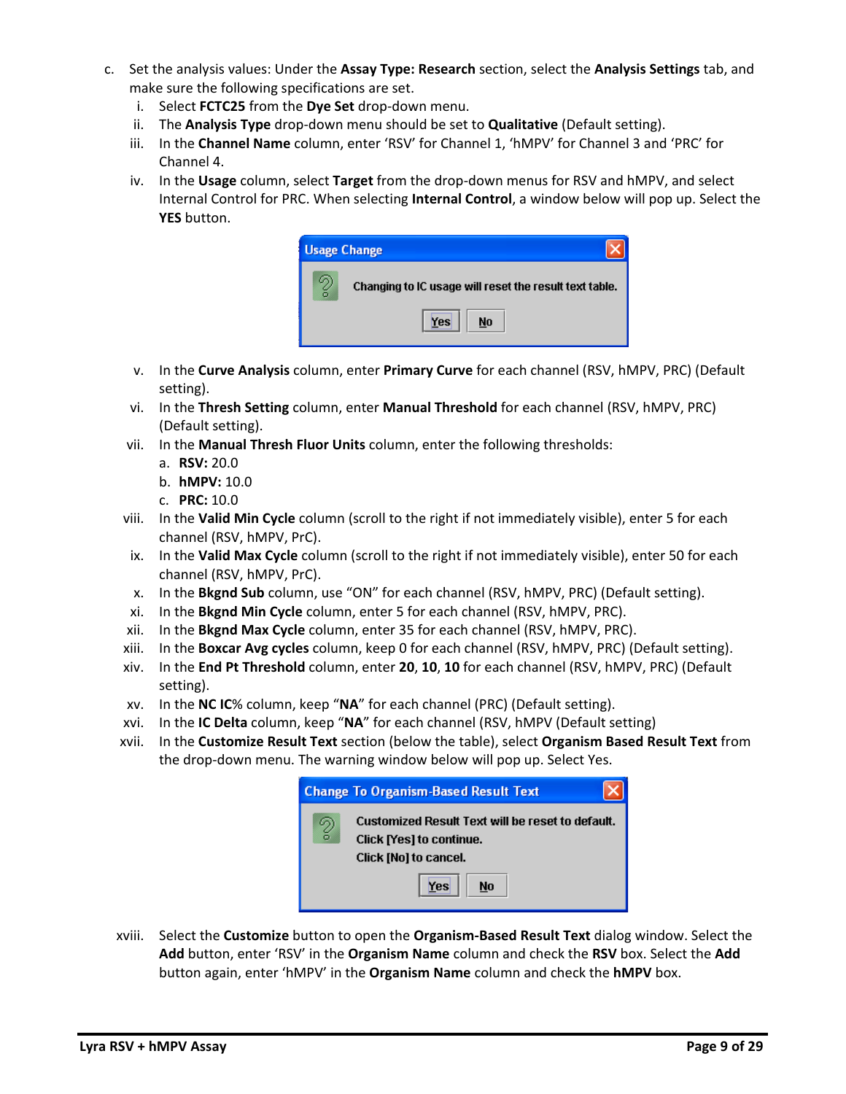- c. Set the analysis values: Under the **Assay Type: Research** section, select the **Analysis Settings** tab, and make sure the following specifications are set.
	- i. Select **FCTC25** from the **Dye Set** drop-down menu.
	- ii. The **Analysis Type** drop-down menu should be set to **Qualitative** (Default setting).
	- iii. In the **Channel Name** column, enter 'RSV' for Channel 1, 'hMPV' for Channel 3 and 'PRC' for Channel 4.
	- iv. In the **Usage** column, select **Target** from the drop-down menus for RSV and hMPV, and select Internal Control for PRC. When selecting **Internal Control**, a window below will pop up. Select the **YES** button.

| <b>Usage Change</b> |                                                        |
|---------------------|--------------------------------------------------------|
| ă                   | Changing to IC usage will reset the result text table. |
|                     | Yes<br>No                                              |

- v. In the **Curve Analysis** column, enter **Primary Curve** for each channel (RSV, hMPV, PRC) (Default setting).
- vi. In the **Thresh Setting** column, enter **Manual Threshold** for each channel (RSV, hMPV, PRC) (Default setting).
- vii. In the **Manual Thresh Fluor Units** column, enter the following thresholds:
	- a. **RSV:** 20.0
	- b. **hMPV:** 10.0
	- c. **PRC:** 10.0
- viii. In the **Valid Min Cycle** column (scroll to the right if not immediately visible), enter 5 for each channel (RSV, hMPV, PrC).
- ix. In the **Valid Max Cycle** column (scroll to the right if not immediately visible), enter 50 for each channel (RSV, hMPV, PrC).
- x. In the **Bkgnd Sub** column, use "ON" for each channel (RSV, hMPV, PRC) (Default setting).
- xi. In the **Bkgnd Min Cycle** column, enter 5 for each channel (RSV, hMPV, PRC).
- xii. In the **Bkgnd Max Cycle** column, enter 35 for each channel (RSV, hMPV, PRC).
- xiii. In the **Boxcar Avg cycles** column, keep 0 for each channel (RSV, hMPV, PRC) (Default setting).
- xiv. In the **End Pt Threshold** column, enter **20**, **10**, **10** for each channel (RSV, hMPV, PRC) (Default setting).
- xv. In the **NC IC**% column, keep "**NA**" for each channel (PRC) (Default setting).
- xvi. In the **IC Delta** column, keep "**NA**" for each channel (RSV, hMPV (Default setting)
- xvii. In the **Customize Result Text** section (below the table), select **Organism Based Result Text** from the drop-down menu. The warning window below will pop up. Select Yes.



xviii. Select the **Customize** button to open the **Organism-Based Result Text** dialog window. Select the **Add** button, enter 'RSV' in the **Organism Name** column and check the **RSV** box. Select the **Add** button again, enter 'hMPV' in the **Organism Name** column and check the **hMPV** box.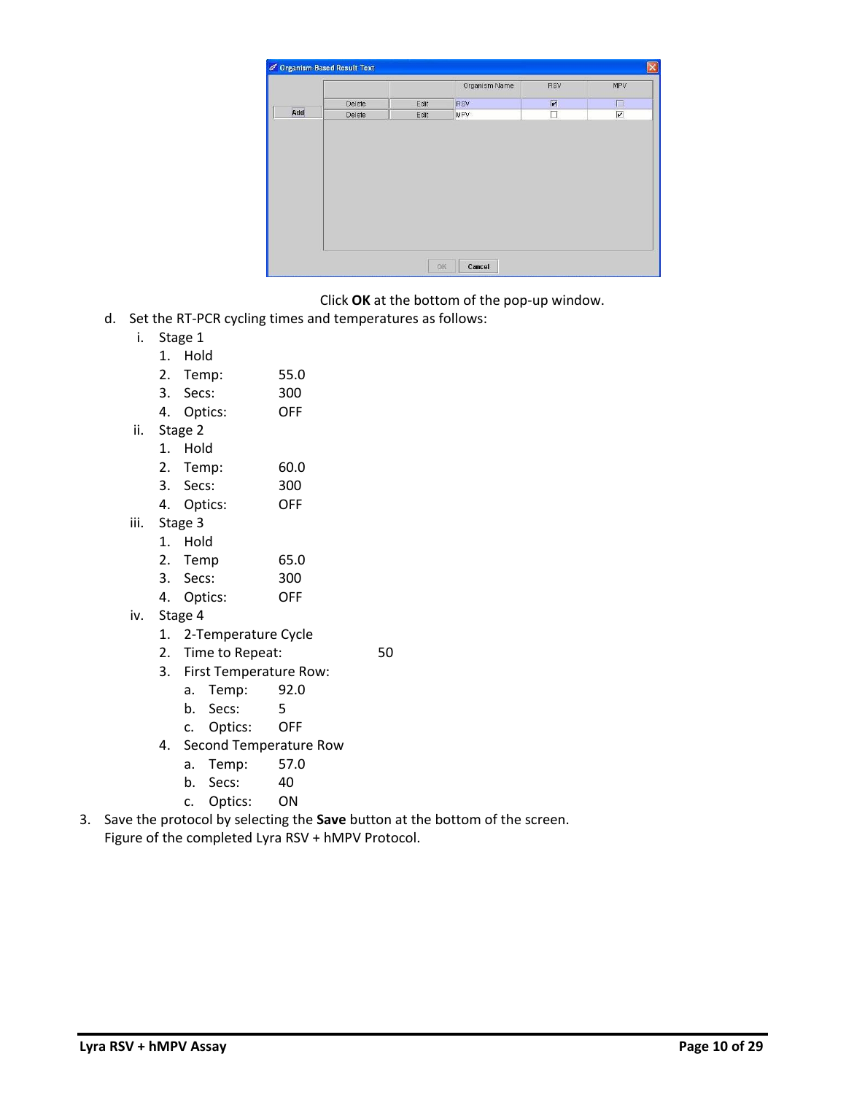|     |        |      | Organism Name | RSV | MPV                     |
|-----|--------|------|---------------|-----|-------------------------|
|     | Delete | Edit | RSV           | 図   | $\Box$                  |
| Add | Delete | Edit | MPV           | E   | $\overline{\mathbf{r}}$ |
|     |        |      |               |     |                         |
|     |        |      |               |     |                         |

Click **OK** at the bottom of the pop-up window.

- d. Set the RT-PCR cycling times and temperatures as follows:
	- i. Stage 1
		- 1. Hold
		- 2. Temp: 55.0
		- 3. Secs: 300
		- 4. Optics: OFF
	- ii. Stage 2
		- 1. Hold
		- 2. Temp: 60.0
		- 3. Secs: 300
		- 4. Optics: OFF
	- iii. Stage 3
		- 1. Hold
			- 2. Temp 65.0
			- 3. Secs: 300
			- 4. Optics: OFF
	- iv. Stage 4
		- 1. 2-Temperature Cycle
		- 2. Time to Repeat: 50
			-
		- 3. First Temperature Row:
			- a. Temp: 92.0
			- b. Secs: 5
			- c. Optics: OFF
		- 4. Second Temperature Row
			- a. Temp: 57.0
			- b. Secs: 40
			- c. Optics: ON
- 3. Save the protocol by selecting the **Save** button at the bottom of the screen. Figure of the completed Lyra RSV + hMPV Protocol.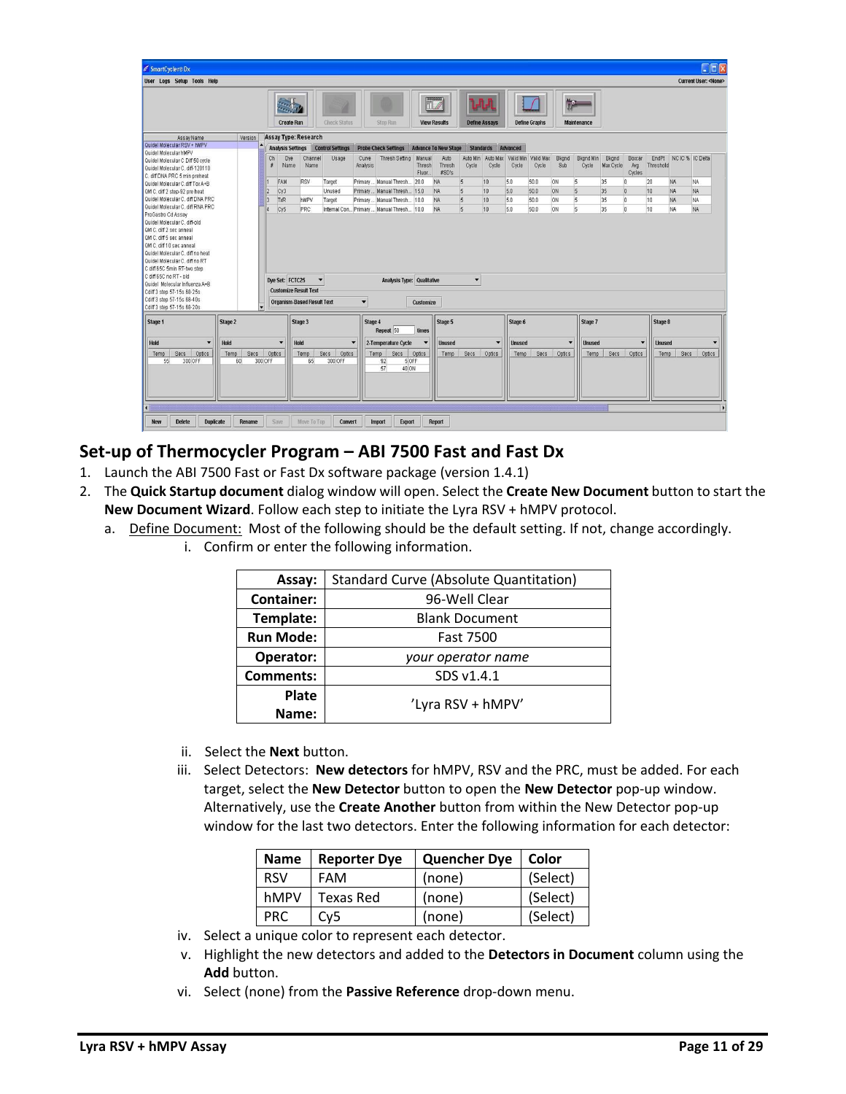| SmartCycler®Dx                                                                                                                |                |                                     |                          |                         |                          |                                         |                            |                                               |                      |                          |                    |                      |                      |                           |                    |                                |                  |                       |                                    |
|-------------------------------------------------------------------------------------------------------------------------------|----------------|-------------------------------------|--------------------------|-------------------------|--------------------------|-----------------------------------------|----------------------------|-----------------------------------------------|----------------------|--------------------------|--------------------|----------------------|----------------------|---------------------------|--------------------|--------------------------------|------------------|-----------------------|------------------------------------|
| <b>User Logs Setup Tools Help</b>                                                                                             |                |                                     |                          |                         |                          |                                         |                            |                                               |                      |                          |                    |                      |                      |                           |                    |                                |                  |                       | <b>Current User: <none></none></b> |
|                                                                                                                               |                | <b>Crestin</b><br><b>Create Run</b> |                          | <b>Check Status</b>     |                          | Stop Run                                |                            | 0000000<br>$\mathbb T$<br><b>View Results</b> | <b>Define Assays</b> |                          |                    | <b>Define Graphs</b> | No.                  | <b>Maintenance</b>        |                    |                                |                  |                       |                                    |
|                                                                                                                               |                | Assay Type: Research                |                          |                         |                          |                                         |                            |                                               |                      |                          |                    |                      |                      |                           |                    |                                |                  |                       |                                    |
| Assay Name<br>Version<br>Quidel Molecular RSV + hMPV                                                                          |                |                                     |                          |                         |                          |                                         |                            |                                               |                      |                          |                    |                      |                      |                           |                    |                                |                  |                       |                                    |
|                                                                                                                               |                | <b>Analysis Settings</b>            |                          | <b>Control Settings</b> |                          | <b>Probe Check Settings</b>             |                            | <b>Advance To New Stage</b>                   | <b>Standards</b>     |                          | Advanced           |                      |                      |                           |                    |                                |                  |                       |                                    |
| Quidel Molecular hMPV<br>Quidel Molecular C Diff 50 cycle<br>Quidel Molecular C. diff-120110<br>C. diff DNA PRC 5 min preheat | Ch<br>$\sharp$ | Dye<br>Name                         | Channel<br>Name          | Usage                   | Curve<br>Analysis        | <b>Thresh Setting</b>                   | Manual<br>Thresh<br>Fluor. | Auto<br>Thresh<br>#SD's                       | Auto Min<br>Cycle    | Auto Max<br>Cycle        | Valid Min<br>Cycle | Valid Max<br>Cycle   | Bkgnd<br>Sub         | <b>Bkand Min</b><br>Cycle | Bkgnd<br>Max Cycle | Boxcar<br>Ava<br><b>Cycles</b> | <b>Threshold</b> | EndPt NCIC % IC Delta |                                    |
| Quidel Molecular C.diff Tox A+B                                                                                               |                | FAM                                 | RSV                      | Target                  |                          | Primary  Manual Thresh                  | 20.0                       | <b>NA</b>                                     | $\sqrt{5}$           | 10                       | 5.0                | 50.0                 | <b>ON</b>            | $\sqrt{5}$                | 35                 | $\overline{0}$                 | 20               | NA.                   | NA.                                |
| QM C, diff 2 step-92 pre heat                                                                                                 | $\overline{2}$ | Cy <sub>3</sub>                     |                          | Unused                  | Primary                  | Manual Thresh 15.0                      |                            | <b>NA</b>                                     | $\overline{5}$       | 10                       | 5.0                | 50.0                 | <b>ON</b>            | $\overline{5}$            | 35                 | $\vert$ 0                      | 10               | <b>NA</b>             | <b>NA</b>                          |
| Quidel Molecular C. diff DNA PRC                                                                                              | 3              | TxR                                 | hMPV                     | Target                  |                          | Primary  Manual Thresh                  | 10.0                       | <b>NA</b>                                     | 5                    | 10                       | 5.0                | 50.0                 | <b>ON</b>            | $5 -$                     | 35                 | $\mathfrak{a}$                 | 10               | <b>NA</b>             | NA                                 |
| Quidel Molecular C. diff RNA PRC                                                                                              |                | Cy5                                 | PRC                      |                         |                          | Internal Con Primary Manual Thresh 10.0 |                            | <b>NA</b>                                     | $\overline{5}$       | 10                       | 5.0                | 50.0                 | <b>ON</b>            | $\overline{5}$            | 35                 | 'n                             | 10               | <b>NA</b>             | <b>NA</b>                          |
| ProGastro Cd Assay                                                                                                            |                |                                     |                          |                         |                          |                                         |                            |                                               |                      |                          |                    |                      |                      |                           |                    |                                |                  |                       |                                    |
| Quidel Molecular C. diff-old                                                                                                  |                |                                     |                          |                         |                          |                                         |                            |                                               |                      |                          |                    |                      |                      |                           |                    |                                |                  |                       |                                    |
| OM C_diff 2 sec anneal                                                                                                        |                |                                     |                          |                         |                          |                                         |                            |                                               |                      |                          |                    |                      |                      |                           |                    |                                |                  |                       |                                    |
| OM C. diff 5 sec anneal                                                                                                       |                |                                     |                          |                         |                          |                                         |                            |                                               |                      |                          |                    |                      |                      |                           |                    |                                |                  |                       |                                    |
| OM C. diff 10 sec anneal                                                                                                      |                |                                     |                          |                         |                          |                                         |                            |                                               |                      |                          |                    |                      |                      |                           |                    |                                |                  |                       |                                    |
| Quidel Molecular C. diff no heat                                                                                              |                |                                     |                          |                         |                          |                                         |                            |                                               |                      |                          |                    |                      |                      |                           |                    |                                |                  |                       |                                    |
| Quidel Molecular C. diff no RT                                                                                                |                |                                     |                          |                         |                          |                                         |                            |                                               |                      |                          |                    |                      |                      |                           |                    |                                |                  |                       |                                    |
| C diff 65C 5min RT-two step                                                                                                   |                |                                     |                          |                         |                          |                                         |                            |                                               |                      |                          |                    |                      |                      |                           |                    |                                |                  |                       |                                    |
| C diff 65C no RT - old                                                                                                        |                |                                     |                          |                         |                          |                                         |                            |                                               |                      |                          |                    |                      |                      |                           |                    |                                |                  |                       |                                    |
| Quidel Molecular Influenza A+B                                                                                                |                | Dye Set: FCTC25                     | $\overline{\phantom{a}}$ |                         |                          | <b>Analysis Type: Qualitative</b>       |                            |                                               | $\blacktriangledown$ |                          |                    |                      |                      |                           |                    |                                |                  |                       |                                    |
| Cdiff 3 step 57-15s 68-25s                                                                                                    |                | <b>Customize Result Text</b>        |                          |                         |                          |                                         |                            |                                               |                      |                          |                    |                      |                      |                           |                    |                                |                  |                       |                                    |
| Cdiff 3 step 57-15s 68-40s                                                                                                    |                |                                     |                          |                         |                          |                                         |                            |                                               |                      |                          |                    |                      |                      |                           |                    |                                |                  |                       |                                    |
| Cdiff 3 step 57-15s 68-20s                                                                                                    |                | <b>Organism-Based Result Text</b>   |                          |                         | $\overline{\phantom{a}}$ |                                         | Customize                  |                                               |                      |                          |                    |                      |                      |                           |                    |                                |                  |                       |                                    |
| Stage 2<br>Stage 1                                                                                                            |                | Stage 3                             |                          |                         | Stage 4                  |                                         |                            | Stage 5                                       |                      |                          | Stage 6            |                      |                      | Stage 7                   |                    |                                | Stage 8          |                       |                                    |
|                                                                                                                               |                |                                     |                          |                         |                          | Repeat 50                               | times                      |                                               |                      |                          |                    |                      |                      |                           |                    |                                |                  |                       |                                    |
| Hold<br>Hold<br>$\overline{\mathbf{v}}$                                                                                       |                | $\blacktriangledown$<br>Hold        |                          |                         | $\overline{\phantom{a}}$ | 2-Temperature Cycle                     | $\overline{\phantom{a}}$   | <b>Unused</b>                                 |                      | $\overline{\phantom{a}}$ | <b>Unused</b>      |                      | $\blacktriangledown$ | <b>Unused</b>             |                    | $\overline{\phantom{a}}$       | <b>Unused</b>    |                       | $\overline{\phantom{a}}$           |
|                                                                                                                               |                |                                     |                          |                         |                          |                                         |                            |                                               |                      |                          |                    |                      |                      |                           |                    |                                |                  |                       | Optics                             |
|                                                                                                                               |                |                                     |                          |                         |                          |                                         |                            |                                               |                      |                          |                    |                      |                      |                           |                    |                                |                  |                       |                                    |
| Secs<br>Optics<br>Secs.<br>Temp<br>Temp                                                                                       | Optics         |                                     | Temp                     | Secs<br>Optics          |                          | Secs<br>Temp                            | Optics                     | Temp                                          | Secs                 | Optics                   | Temp               | Secs                 | Optics               | Temp                      | Secs               | Optics                         | Temp             | Secs                  |                                    |
| 55<br>300 OFF<br>60<br>300 OFF                                                                                                |                |                                     | 65                       | 300 OFF                 |                          | 92<br>5 OFF<br>57                       |                            |                                               |                      |                          |                    |                      |                      |                           |                    |                                |                  |                       |                                    |
|                                                                                                                               |                |                                     |                          |                         |                          | 40 ON                                   |                            |                                               |                      |                          |                    |                      |                      |                           |                    |                                |                  |                       |                                    |
|                                                                                                                               |                |                                     |                          |                         |                          |                                         |                            |                                               |                      |                          |                    |                      |                      |                           |                    |                                |                  |                       |                                    |
|                                                                                                                               |                |                                     |                          |                         |                          |                                         |                            |                                               |                      |                          |                    |                      |                      |                           |                    |                                |                  |                       |                                    |
|                                                                                                                               |                |                                     |                          |                         |                          |                                         |                            |                                               |                      |                          |                    |                      |                      |                           |                    |                                |                  |                       |                                    |
|                                                                                                                               |                |                                     |                          |                         |                          |                                         |                            |                                               |                      |                          |                    |                      |                      |                           |                    |                                |                  |                       |                                    |

### **Set-up of Thermocycler Program – ABI 7500 Fast and Fast Dx**

- 1. Launch the ABI 7500 Fast or Fast Dx software package (version 1.4.1)
- 2. The **Quick Startup document** dialog window will open. Select the **Create New Document** button to start the **New Document Wizard**. Follow each step to initiate the Lyra RSV + hMPV protocol.
	- a. Define Document: Most of the following should be the default setting. If not, change accordingly.
		- i. Confirm or enter the following information.

| Assay:            | <b>Standard Curve (Absolute Quantitation)</b> |  |  |  |  |
|-------------------|-----------------------------------------------|--|--|--|--|
| <b>Container:</b> | 96-Well Clear                                 |  |  |  |  |
| Template:         | <b>Blank Document</b>                         |  |  |  |  |
| <b>Run Mode:</b>  | <b>Fast 7500</b>                              |  |  |  |  |
| Operator:         | your operator name                            |  |  |  |  |
| <b>Comments:</b>  | SDS v1.4.1                                    |  |  |  |  |
| Plate             |                                               |  |  |  |  |
| Name:             | 'Lyra RSV + hMPV'                             |  |  |  |  |

- ii. Select the **Next** button.
- iii. Select Detectors: **New detectors** for hMPV, RSV and the PRC, must be added. For each target, select the **New Detector** button to open the **New Detector** pop-up window. Alternatively, use the **Create Another** button from within the New Detector pop-up window for the last two detectors. Enter the following information for each detector:

| <b>Name</b> | <b>Reporter Dye</b> | <b>Quencher Dye</b> |          |  |  |
|-------------|---------------------|---------------------|----------|--|--|
| <b>RSV</b>  | <b>FAM</b>          | (none)              | (Select) |  |  |
| hMPV        | Texas Red           | (none)              | (Select) |  |  |
| PRC.        | Cy <sub>5</sub>     | (none)              | (Select) |  |  |

- iv. Select a unique color to represent each detector.
- v. Highlight the new detectors and added to the **Detectors in Document** column using the **Add** button.
- vi. Select (none) from the **Passive Reference** drop-down menu.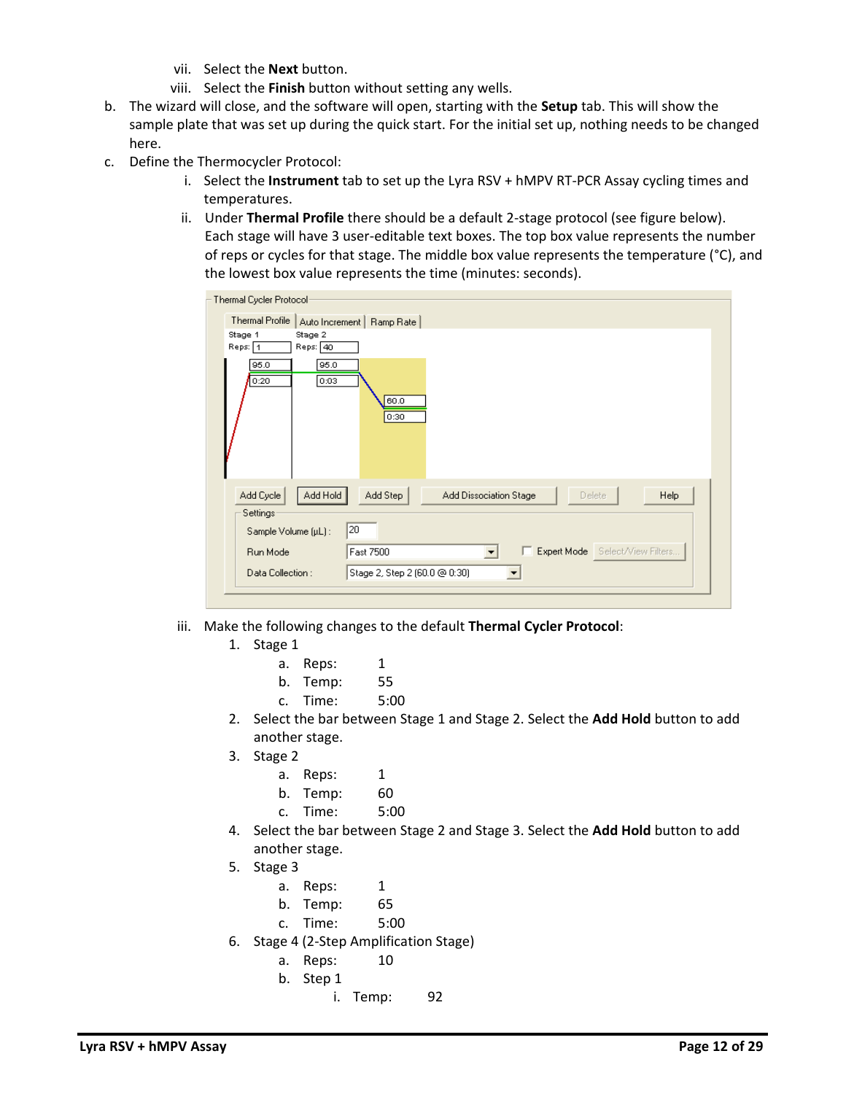- vii. Select the **Next** button.
- viii. Select the **Finish** button without setting any wells.
- b. The wizard will close, and the software will open, starting with the **Setup** tab. This will show the sample plate that was set up during the quick start. For the initial set up, nothing needs to be changed here.
- c. Define the Thermocycler Protocol:
	- i. Select the **Instrument** tab to set up the Lyra RSV + hMPV RT-PCR Assay cycling times and temperatures.
	- ii. Under **Thermal Profile** there should be a default 2-stage protocol (see figure below). Each stage will have 3 user-editable text boxes. The top box value represents the number of reps or cycles for that stage. The middle box value represents the temperature (°C), and the lowest box value represents the time (minutes: seconds).

| Thermal Cycler Protocol-                                                                                |
|---------------------------------------------------------------------------------------------------------|
| Thermal Profile<br>Auto Increment   Ramp Rate                                                           |
| Stage 1<br>Stage 2                                                                                      |
| Reps: 40<br>Reps: 1                                                                                     |
| 95.0<br>95.0<br>0:20<br>0:03<br>60.0<br>0:30                                                            |
| Add Hold<br>Add Cycle<br>Add Step<br>Add Dissociation Stage<br><b>Help</b><br><b>Delete</b><br>Settings |
| 20<br>Sample Volume (µL):                                                                               |
| E Expert Mode Select/View Filters<br>Run Mode<br>Fast 7500<br>$\blacktriangledown$                      |
| Data Collection:<br>Stage 2, Step 2 (60.0 @ 0:30)                                                       |
|                                                                                                         |

- iii. Make the following changes to the default **Thermal Cycler Protocol**:
	- 1. Stage 1
		- a. Reps: 1
		- b. Temp: 55
		- c. Time: 5:00
	- 2. Select the bar between Stage 1 and Stage 2. Select the **Add Hold** button to add another stage.
	- 3. Stage 2
		- a. Reps: 1
		- b. Temp: 60
		- c. Time: 5:00
	- 4. Select the bar between Stage 2 and Stage 3. Select the **Add Hold** button to add another stage.
	- 5. Stage 3
		- a. Reps: 1
		- b. Temp: 65
		- c. Time: 5:00
	- 6. Stage 4 (2-Step Amplification Stage)
		- a. Reps: 10
		- b. Step 1
			- i. Temp: 92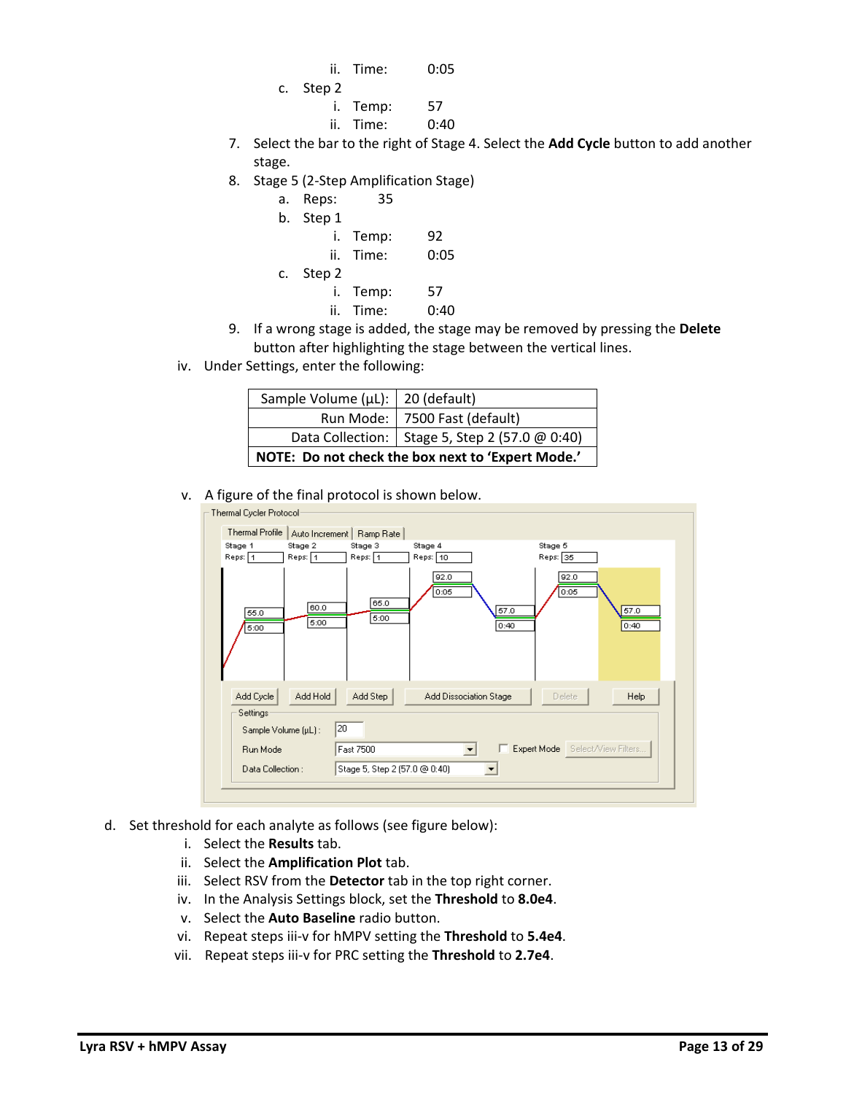- ii. Time: 0:05
- c. Step 2
	- i. Temp: 57 ii. Time: 0:40
- 7. Select the bar to the right of Stage 4. Select the **Add Cycle** button to add another stage.
- 8. Stage 5 (2-Step Amplification Stage)
	- a. Reps: 35
	- b. Step 1
	- i. Temp: 92 ii. Time: 0:05 c. Step 2 i. Temp: 57
		- ii. Time: 0:40
- 9. If a wrong stage is added, the stage may be removed by pressing the **Delete** button after highlighting the stage between the vertical lines.
- iv. Under Settings, enter the following:

| Sample Volume (µL):   20 (default) |                                                   |
|------------------------------------|---------------------------------------------------|
|                                    | Run Mode:   7500 Fast (default)                   |
|                                    | Data Collection:   Stage 5, Step 2 (57.0 @ 0:40)  |
|                                    | NOTE: Do not check the box next to 'Expert Mode.' |

v. A figure of the final protocol is shown below.

| Thermal Cycler Protocol<br>Thermal Profile |                                      |                                 |                               |                                 |              |
|--------------------------------------------|--------------------------------------|---------------------------------|-------------------------------|---------------------------------|--------------|
| Stage 1<br>Reps: 1                         | Auto Increment<br>Stage 2<br>Reps: 1 | Ramp Rate<br>Stage 3<br>Reps: 1 | Stage 4<br>Reps: 10           | Stage 5<br>Reps: 35             |              |
| 55.0<br>5:00                               | 60.0<br>5:00                         | 65.0<br>5:00                    | 92.0<br>0:05                  | 92.0<br>0:05<br>57.0<br>0:40    | 57.0<br>0:40 |
| Add Cycle<br>Settings                      | Add Hold                             | Add Step                        | <b>Add Dissociation Stage</b> | <b>Delete</b>                   | Help         |
| Sample Volume (µL):<br>Run Mode            |                                      | 20<br>Fast 7500                 |                               | Expert Mode Select/View Filters |              |
| Data Collection :                          |                                      | Stage 5, Step 2 (57.0 @ 0:40)   |                               |                                 |              |
|                                            |                                      |                                 |                               |                                 |              |

- d. Set threshold for each analyte as follows (see figure below):
	- i. Select the **Results** tab.
	- ii. Select the **Amplification Plot** tab.
	- iii. Select RSV from the **Detector** tab in the top right corner.
	- iv. In the Analysis Settings block, set the **Threshold** to **8.0e4**.
	- v. Select the **Auto Baseline** radio button.
	- vi. Repeat steps iii-v for hMPV setting the **Threshold** to **5.4e4**.
	- vii. Repeat steps iii-v for PRC setting the **Threshold** to **2.7e4**.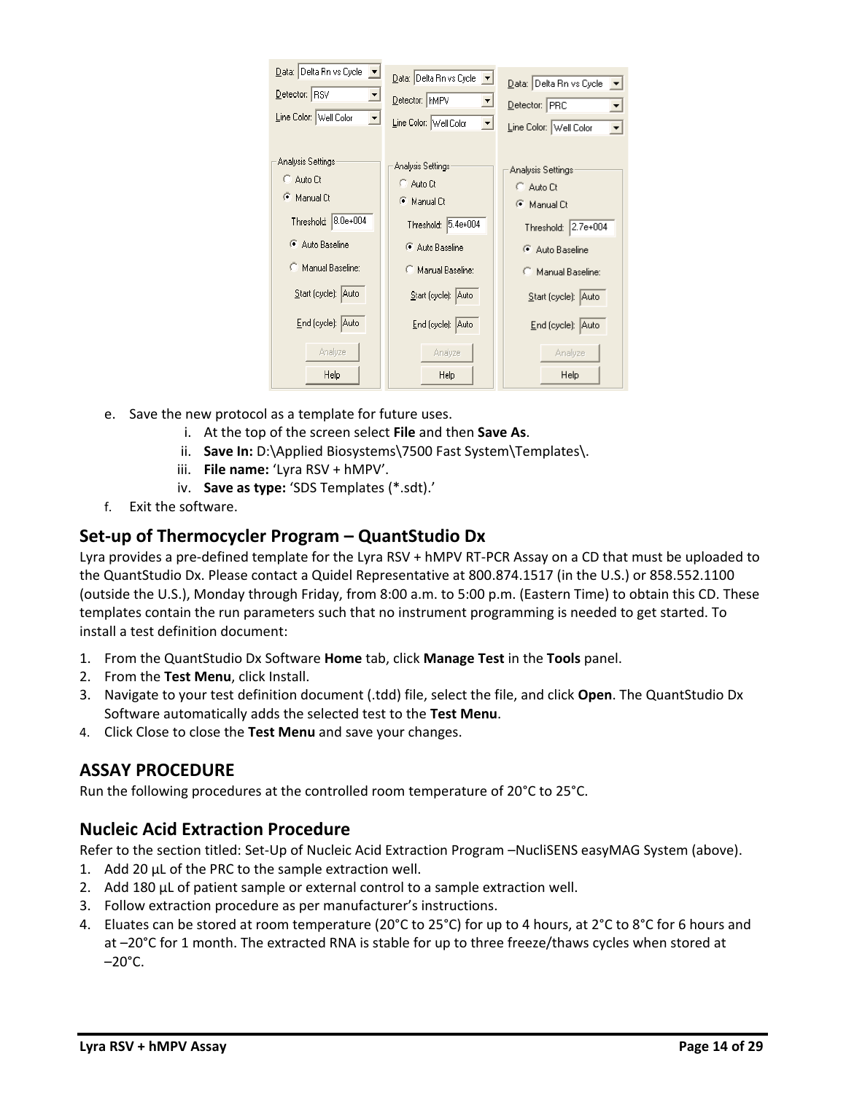| Data: Delta Rn vs Cycle<br>그<br>Detector: RSV<br>그<br>Line Color: Well Color<br>$\overline{\phantom{a}}$ | Data: Delta Rn vs Cycle<br>Detector:   hMPV<br>▼<br>Line Color: Well Color<br>≖ | $\underline{\mathsf{Data}}$ : Delta Rn vs Cycle $\mathsf{R}$<br>Detector: PRC<br>ᅬ<br>Line Color: Well Color |
|----------------------------------------------------------------------------------------------------------|---------------------------------------------------------------------------------|--------------------------------------------------------------------------------------------------------------|
| Analysis Settings                                                                                        | Analysis Settings:                                                              | Analysis Settings:                                                                                           |
| C Auto Ct                                                                                                | C Auto Ct                                                                       | C Auto Ct                                                                                                    |
| Manual Ct                                                                                                | Manual Ct                                                                       | <b>C</b> Manual Ct                                                                                           |
| Threshold: 8.0e+004                                                                                      | Threshold: 5.4e+004                                                             | Threshold: 2.7e+004                                                                                          |
| Auto Baseline                                                                                            | Auto Baseline                                                                   | Auto Baseline                                                                                                |
| Manual Baseline:                                                                                         | Manual Baseline:                                                                | Manual Baseline:                                                                                             |
| Start (cycle): Auto                                                                                      | Start (cycle): Auto                                                             | Start (cycle): Auto                                                                                          |
| End (cycle): Auto                                                                                        | End (cycle): Auto                                                               | End (cycle): Auto                                                                                            |
| Analyze                                                                                                  | Analyze                                                                         | Analyze                                                                                                      |
| Help.                                                                                                    | Help                                                                            | Help                                                                                                         |

- e. Save the new protocol as a template for future uses.
	- i. At the top of the screen select **File** and then **Save As**.
	- ii. **Save In:** D:\Applied Biosystems\7500 Fast System\Templates\.
	- iii. **File name:** 'Lyra RSV + hMPV'.
	- iv. **Save as type:** 'SDS Templates (\*.sdt).'
- f. Exit the software.

### **Set-up of Thermocycler Program – QuantStudio Dx**

Lyra provides a pre‐defined template for the Lyra RSV + hMPV RT‐PCR Assay on a CD that must be uploaded to the QuantStudio Dx. Please contact a Quidel Representative at 800.874.1517 (in the U.S.) or 858.552.1100 (outside the U.S.), Monday through Friday, from 8:00 a.m. to 5:00 p.m. (Eastern Time) to obtain this CD. These templates contain the run parameters such that no instrument programming is needed to get started. To install a test definition document:

- 1. From the QuantStudio Dx Software **Home** tab, click **Manage Test** in the **Tools** panel.
- 2. From the **Test Menu**, click Install.
- 3. Navigate to your test definition document (.tdd) file, select the file, and click **Open**. The QuantStudio Dx Software automatically adds the selected test to the **Test Menu**.
- 4. Click Close to close the **Test Menu** and save your changes.

### **ASSAY PROCEDURE**

Run the following procedures at the controlled room temperature of 20°C to 25°C.

### **Nucleic Acid Extraction Procedure**

Refer to the section titled: Set-Up of Nucleic Acid Extraction Program –NucliSENS easyMAG System (above).

- 1. Add 20 µL of the PRC to the sample extraction well.
- 2. Add 180 µL of patient sample or external control to a sample extraction well.
- 3. Follow extraction procedure as per manufacturer's instructions.
- 4. Eluates can be stored at room temperature (20°C to 25°C) for up to 4 hours, at 2°C to 8°C for 6 hours and at –20°C for 1 month. The extracted RNA is stable for up to three freeze/thaws cycles when stored at  $-20^{\circ}$ C.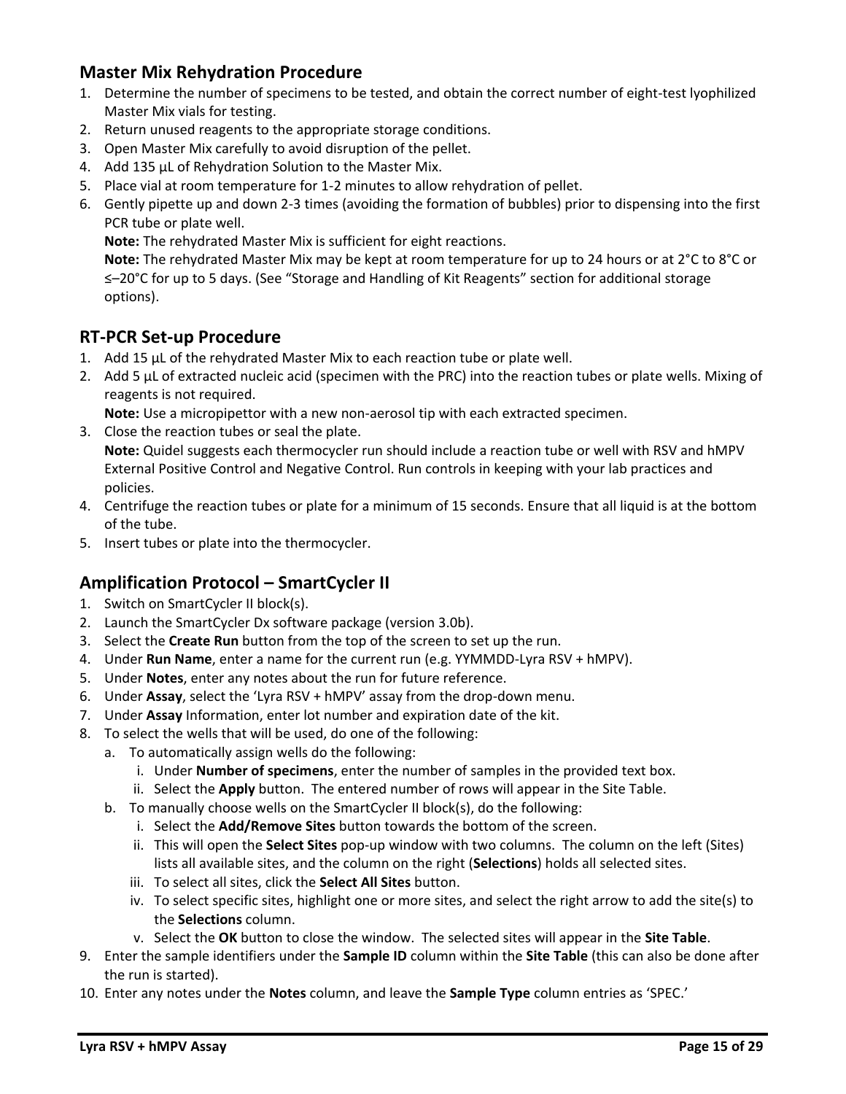## **Master Mix Rehydration Procedure**

- 1. Determine the number of specimens to be tested, and obtain the correct number of eight-test lyophilized Master Mix vials for testing.
- 2. Return unused reagents to the appropriate storage conditions.
- 3. Open Master Mix carefully to avoid disruption of the pellet.
- 4. Add 135 µL of Rehydration Solution to the Master Mix.
- 5. Place vial at room temperature for 1-2 minutes to allow rehydration of pellet.
- 6. Gently pipette up and down 2-3 times (avoiding the formation of bubbles) prior to dispensing into the first PCR tube or plate well.

**Note:** The rehydrated Master Mix is sufficient for eight reactions.

**Note:** The rehydrated Master Mix may be kept at room temperature for up to 24 hours or at 2°C to 8°C or ≤–20°C for up to 5 days. (See "Storage and Handling of Kit Reagents" section for additional storage options).

# **RT-PCR Set-up Procedure**

- 1. Add 15 µL of the rehydrated Master Mix to each reaction tube or plate well.
- 2. Add 5 µL of extracted nucleic acid (specimen with the PRC) into the reaction tubes or plate wells. Mixing of reagents is not required.

**Note:** Use a micropipettor with a new non-aerosol tip with each extracted specimen.

- 3. Close the reaction tubes or seal the plate. **Note:** Quidel suggests each thermocycler run should include a reaction tube or well with RSV and hMPV External Positive Control and Negative Control. Run controls in keeping with your lab practices and policies.
- 4. Centrifuge the reaction tubes or plate for a minimum of 15 seconds. Ensure that all liquid is at the bottom of the tube.
- 5. Insert tubes or plate into the thermocycler.

# **Amplification Protocol – SmartCycler II**

- 1. Switch on SmartCycler II block(s).
- 2. Launch the SmartCycler Dx software package (version 3.0b).
- 3. Select the **Create Run** button from the top of the screen to set up the run.
- 4. Under **Run Name**, enter a name for the current run (e.g. YYMMDD-Lyra RSV + hMPV).
- 5. Under **Notes**, enter any notes about the run for future reference.
- 6. Under **Assay**, select the 'Lyra RSV + hMPV' assay from the drop-down menu.
- 7. Under **Assay** Information, enter lot number and expiration date of the kit.
- 8. To select the wells that will be used, do one of the following:
	- a. To automatically assign wells do the following:
		- i. Under **Number of specimens**, enter the number of samples in the provided text box.
		- ii. Select the **Apply** button. The entered number of rows will appear in the Site Table.
		- b. To manually choose wells on the SmartCycler II block(s), do the following:
			- i. Select the **Add/Remove Sites** button towards the bottom of the screen.
			- ii. This will open the **Select Sites** pop-up window with two columns. The column on the left (Sites) lists all available sites, and the column on the right (**Selections**) holds all selected sites.
			- iii. To select all sites, click the **Select All Sites** button.
			- iv. To select specific sites, highlight one or more sites, and select the right arrow to add the site(s) to the **Selections** column.
			- v. Select the **OK** button to close the window. The selected sites will appear in the **Site Table**.
- 9. Enter the sample identifiers under the **Sample ID** column within the **Site Table** (this can also be done after the run is started).
- 10. Enter any notes under the **Notes** column, and leave the **Sample Type** column entries as 'SPEC.'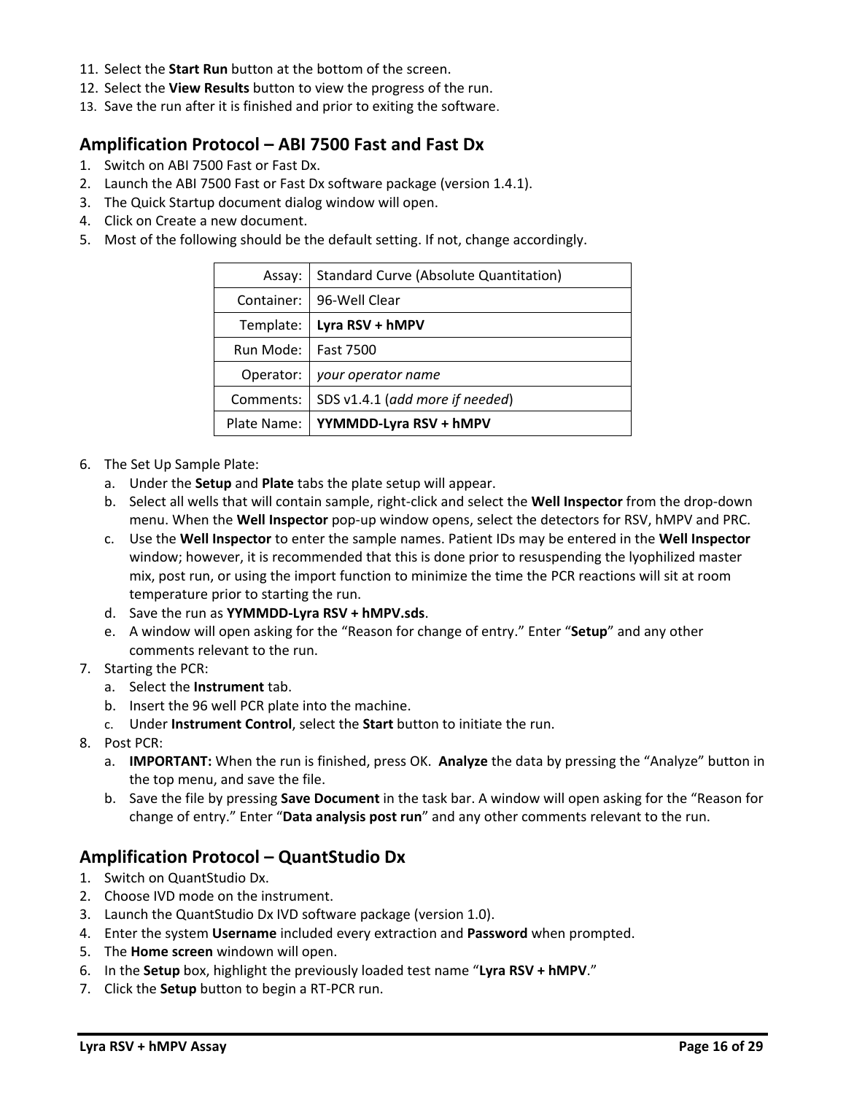- 11. Select the **Start Run** button at the bottom of the screen.
- 12. Select the **View Results** button to view the progress of the run.
- 13. Save the run after it is finished and prior to exiting the software.

### **Amplification Protocol – ABI 7500 Fast and Fast Dx**

- 1. Switch on ABI 7500 Fast or Fast Dx.
- 2. Launch the ABI 7500 Fast or Fast Dx software package (version 1.4.1).
- 3. The Quick Startup document dialog window will open.
- 4. Click on Create a new document.
- 5. Most of the following should be the default setting. If not, change accordingly.

|            | SDS v1.4.1 (add more if needed)        |
|------------|----------------------------------------|
| Comments:  |                                        |
| Operator:  | your operator name                     |
| Run Mode:  | Fast 7500                              |
| Template:  | Lyra RSV + hMPV                        |
| Container: | 96-Well Clear                          |
| Assay:     | Standard Curve (Absolute Quantitation) |

- 6. The Set Up Sample Plate:
	- a. Under the **Setup** and **Plate** tabs the plate setup will appear.
	- b. Select all wells that will contain sample, right-click and select the **Well Inspector** from the drop-down menu. When the **Well Inspector** pop-up window opens, select the detectors for RSV, hMPV and PRC.
	- c. Use the **Well Inspector** to enter the sample names. Patient IDs may be entered in the **Well Inspector** window; however, it is recommended that this is done prior to resuspending the lyophilized master mix, post run, or using the import function to minimize the time the PCR reactions will sit at room temperature prior to starting the run.
	- d. Save the run as **YYMMDD-Lyra RSV + hMPV.sds**.
	- e. A window will open asking for the "Reason for change of entry." Enter "**Setup**" and any other comments relevant to the run.
- 7. Starting the PCR:
	- a. Select the **Instrument** tab.
	- b. Insert the 96 well PCR plate into the machine.
	- c. Under **Instrument Control**, select the **Start** button to initiate the run.
- 8. Post PCR:
	- a. **IMPORTANT:** When the run is finished, press OK. **Analyze** the data by pressing the "Analyze" button in the top menu, and save the file.
	- b. Save the file by pressing **Save Document** in the task bar. A window will open asking for the "Reason for change of entry." Enter "**Data analysis post run**" and any other comments relevant to the run.

### **Amplification Protocol – QuantStudio Dx**

- 1. Switch on QuantStudio Dx.
- 2. Choose IVD mode on the instrument.
- 3. Launch the QuantStudio Dx IVD software package (version 1.0).
- 4. Enter the system **Username** included every extraction and **Password** when prompted.
- 5. The **Home screen** windown will open.
- 6. In the **Setup** box, highlight the previously loaded test name "**Lyra RSV + hMPV**."
- 7. Click the **Setup** button to begin a RT-PCR run.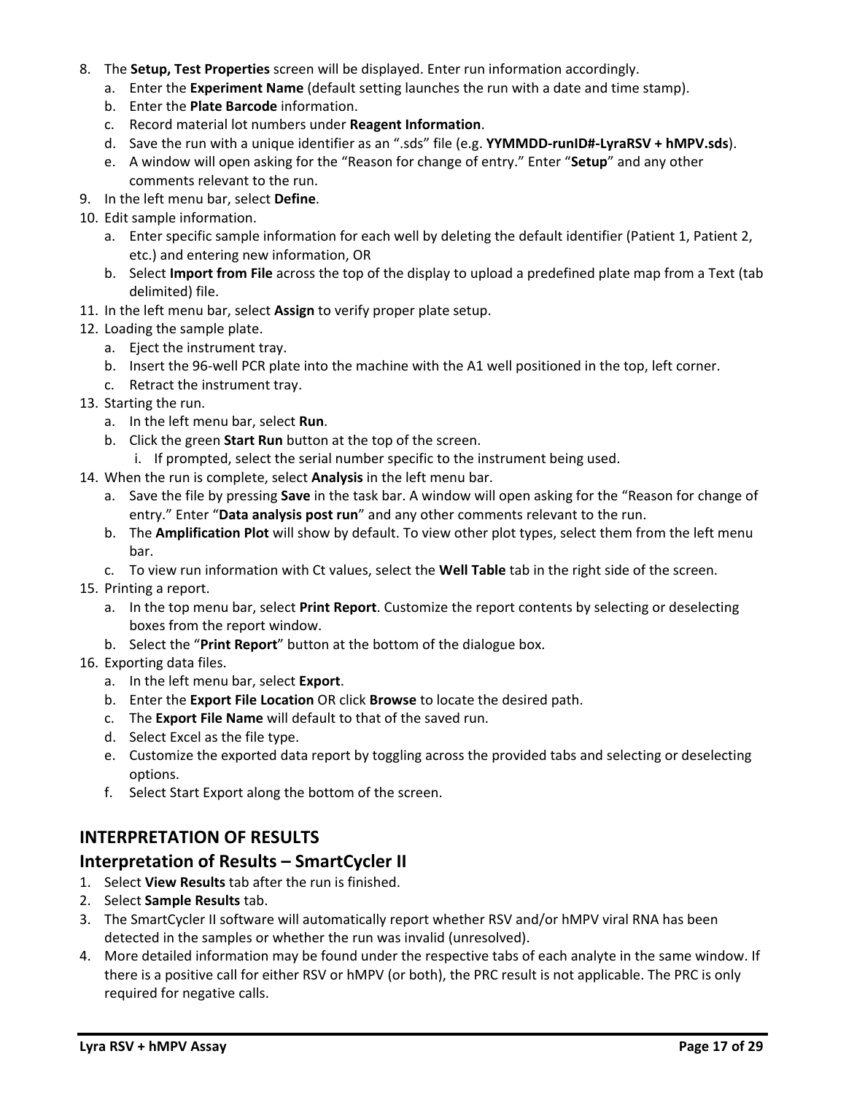- 8. The **Setup, Test Properties** screen will be displayed. Enter run information accordingly.
	- a. Enter the **Experiment Name** (default setting launches the run with a date and time stamp).
	- b. Enter the **Plate Barcode** information.
	- c. Record material lot numbers under **Reagent Information**.
	- d. Save the run with a unique identifier as an ".sds" file (e.g. **YYMMDD-runID#-LyraRSV + hMPV.sds**).
	- e. A window will open asking for the "Reason for change of entry." Enter "**Setup**" and any other comments relevant to the run.
- 9. In the left menu bar, select **Define**.
- 10. Edit sample information.
	- a. Enter specific sample information for each well by deleting the default identifier (Patient 1, Patient 2, etc.) and entering new information, OR
	- b. Select **Import from File** across the top of the display to upload a predefined plate map from a Text (tab delimited) file.
- 11. In the left menu bar, select **Assign** to verify proper plate setup.
- 12. Loading the sample plate.
	- a. Eject the instrument tray.
	- b. Insert the 96-well PCR plate into the machine with the A1 well positioned in the top, left corner.
	- c. Retract the instrument tray.
- 13. Starting the run.
	- a. In the left menu bar, select **Run**.
	- b. Click the green **Start Run** button at the top of the screen.
		- i. If prompted, select the serial number specific to the instrument being used.
- 14. When the run is complete, select **Analysis** in the left menu bar.
	- a. Save the file by pressing **Save** in the task bar. A window will open asking for the "Reason for change of entry." Enter "**Data analysis post run**" and any other comments relevant to the run.
	- b. The **Amplification Plot** will show by default. To view other plot types, select them from the left menu bar.
	- c. To view run information with Ct values, select the **Well Table** tab in the right side of the screen.
- 15. Printing a report.
	- a. In the top menu bar, select **Print Report**. Customize the report contents by selecting or deselecting boxes from the report window.
	- b. Select the "**Print Report**" button at the bottom of the dialogue box.
- 16. Exporting data files.
	- a. In the left menu bar, select **Export**.
	- b. Enter the **Export File Location** OR click **Browse** to locate the desired path.
	- c. The **Export File Name** will default to that of the saved run.
	- d. Select Excel as the file type.
	- e. Customize the exported data report by toggling across the provided tabs and selecting or deselecting options.
	- f. Select Start Export along the bottom of the screen.

### **INTERPRETATION OF RESULTS**

### **Interpretation of Results – SmartCycler II**

- 1. Select **View Results** tab after the run is finished.
- 2. Select **Sample Results** tab.
- 3. The SmartCycler II software will automatically report whether RSV and/or hMPV viral RNA has been detected in the samples or whether the run was invalid (unresolved).
- 4. More detailed information may be found under the respective tabs of each analyte in the same window. If there is a positive call for either RSV or hMPV (or both), the PRC result is not applicable. The PRC is only required for negative calls.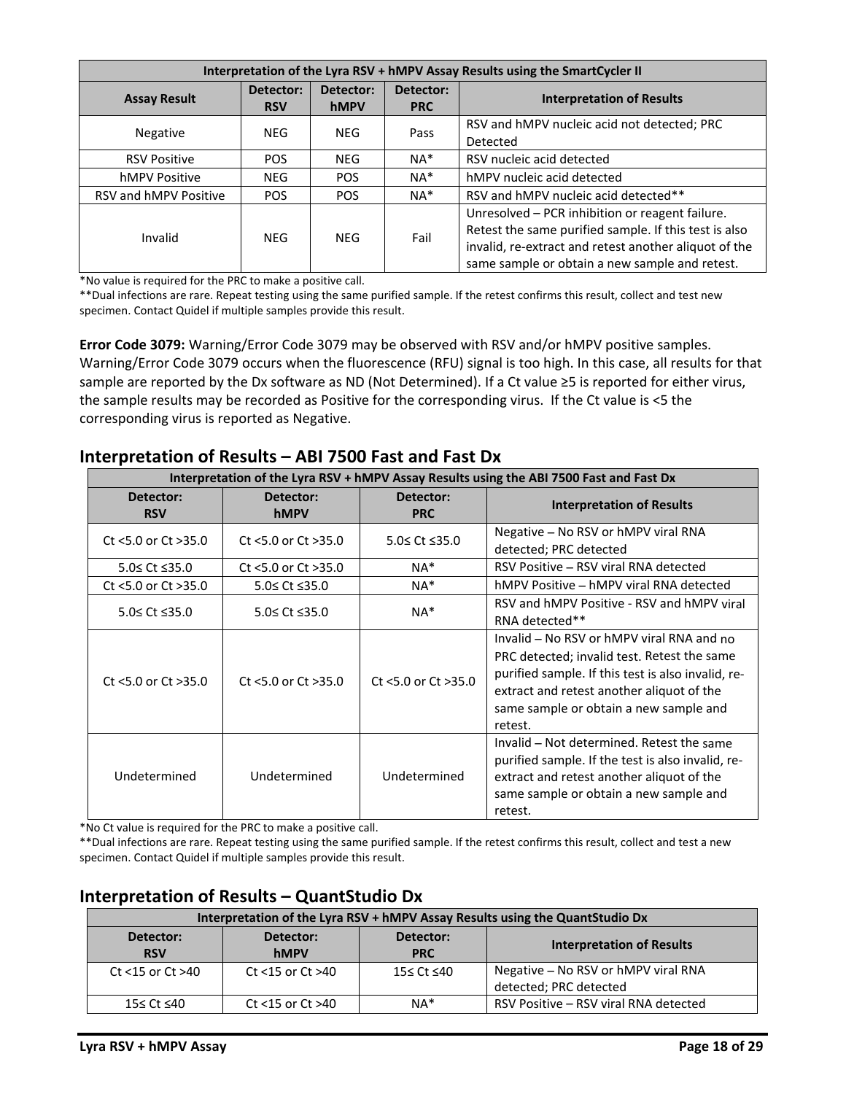| Interpretation of the Lyra RSV + hMPV Assay Results using the SmartCycler II |                   |                         |                                  |                                                                                                                                                                                                                     |  |  |  |
|------------------------------------------------------------------------------|-------------------|-------------------------|----------------------------------|---------------------------------------------------------------------------------------------------------------------------------------------------------------------------------------------------------------------|--|--|--|
| <b>Assay Result</b>                                                          | Detector:<br>hMPV | Detector:<br><b>PRC</b> | <b>Interpretation of Results</b> |                                                                                                                                                                                                                     |  |  |  |
| <b>Negative</b>                                                              | NEG.              | <b>NEG</b>              | Pass                             | RSV and hMPV nucleic acid not detected; PRC<br>Detected                                                                                                                                                             |  |  |  |
| <b>RSV Positive</b>                                                          | <b>POS</b>        | <b>NEG</b>              | $NA^*$                           | RSV nucleic acid detected                                                                                                                                                                                           |  |  |  |
| hMPV Positive                                                                | <b>NEG</b>        | <b>POS</b>              | $NA^*$                           | hMPV nucleic acid detected                                                                                                                                                                                          |  |  |  |
| RSV and hMPV Positive                                                        | <b>POS</b>        | <b>POS</b>              | $NA^*$                           | RSV and hMPV nucleic acid detected**                                                                                                                                                                                |  |  |  |
| Invalid                                                                      | <b>NEG</b>        | <b>NEG</b>              | Fail                             | Unresolved - PCR inhibition or reagent failure.<br>Retest the same purified sample. If this test is also<br>invalid, re-extract and retest another aliquot of the<br>same sample or obtain a new sample and retest. |  |  |  |

\*No value is required for the PRC to make a positive call.

\*\*Dual infections are rare. Repeat testing using the same purified sample. If the retest confirms this result, collect and test new specimen. Contact Quidel if multiple samples provide this result.

**Error Code 3079:** Warning/Error Code 3079 may be observed with RSV and/or hMPV positive samples. Warning/Error Code 3079 occurs when the fluorescence (RFU) signal is too high. In this case, all results for that sample are reported by the Dx software as ND (Not Determined). If a Ct value ≥5 is reported for either virus, the sample results may be recorded as Positive for the corresponding virus. If the Ct value is <5 the corresponding virus is reported as Negative.

#### **Interpretation of the Lyra RSV + hMPV Assay Results using the ABI 7500 Fast and Fast Dx Detector: RSV Detector: hMPV Detector: PRC Interpretation of Results** Ct <5.0 or Ct >35.0  $\Big|$  Ct <5.0 or Ct >35.0  $\Big|$  S.0≤ Ct ≤35.0 Negative – No RSV or hMPV viral RNA detected; PRC detected 5.0≤ Ct ≤35.0 Ct <5.0 or Ct >35.0 NA\* RSV Positive – RSV viral RNA detected Ct <5.0 or Ct >35.0  $\qquad$  5.0≤ Ct ≤35.0  $\qquad$  NA\*  $\qquad$  hMPV Positive – hMPV viral RNA detected 5.0≤ Ct ≤35.0 5.0≤ Ct ≤35.0 NA\* RSV and hMPV Positive - RSV and hMPV viral RNA detected\*\* Ct <5.0 or Ct >35.0  $\parallel$  Ct <5.0 or Ct >35.0  $\parallel$  Ct <5.0 or Ct >35.0 Invalid – No RSV or hMPV viral RNA and no PRC detected; invalid test. Retest the same purified sample. If this test is also invalid, re‐ extract and retest another aliquot of the

### **Interpretation of Results – ABI 7500 Fast and Fast Dx**

retest. \*No Ct value is required for the PRC to make a positive call.

Undetermined Undetermined Undetermined

\*\*Dual infections are rare. Repeat testing using the same purified sample. If the retest confirms this result, collect and test a new specimen. Contact Quidel if multiple samples provide this result.

### **Interpretation of Results – QuantStudio Dx**

| Interpretation of the Lyra RSV + hMPV Assay Results using the QuantStudio Dx |                          |                         |                                       |  |  |  |  |  |
|------------------------------------------------------------------------------|--------------------------|-------------------------|---------------------------------------|--|--|--|--|--|
| Detector:<br><b>RSV</b>                                                      | Detector:<br><b>hMPV</b> | Detector:<br><b>PRC</b> | <b>Interpretation of Results</b>      |  |  |  |  |  |
| Ct $<$ 15 or Ct $>$ 40                                                       | Ct $<$ 15 or Ct $>$ 40   | 15≤ Ct ≤40              | Negative - No RSV or hMPV viral RNA   |  |  |  |  |  |
|                                                                              |                          |                         | detected; PRC detected                |  |  |  |  |  |
| 15≤ Ct ≤40                                                                   | Ct $<$ 15 or Ct $>$ 40   | $NA*$                   | RSV Positive – RSV viral RNA detected |  |  |  |  |  |

same sample or obtain a new sample and

Invalid – Not determined. Retest the same purified sample. If the test is also invalid, re‐ extract and retest another aliquot of the same sample or obtain a new sample and

retest.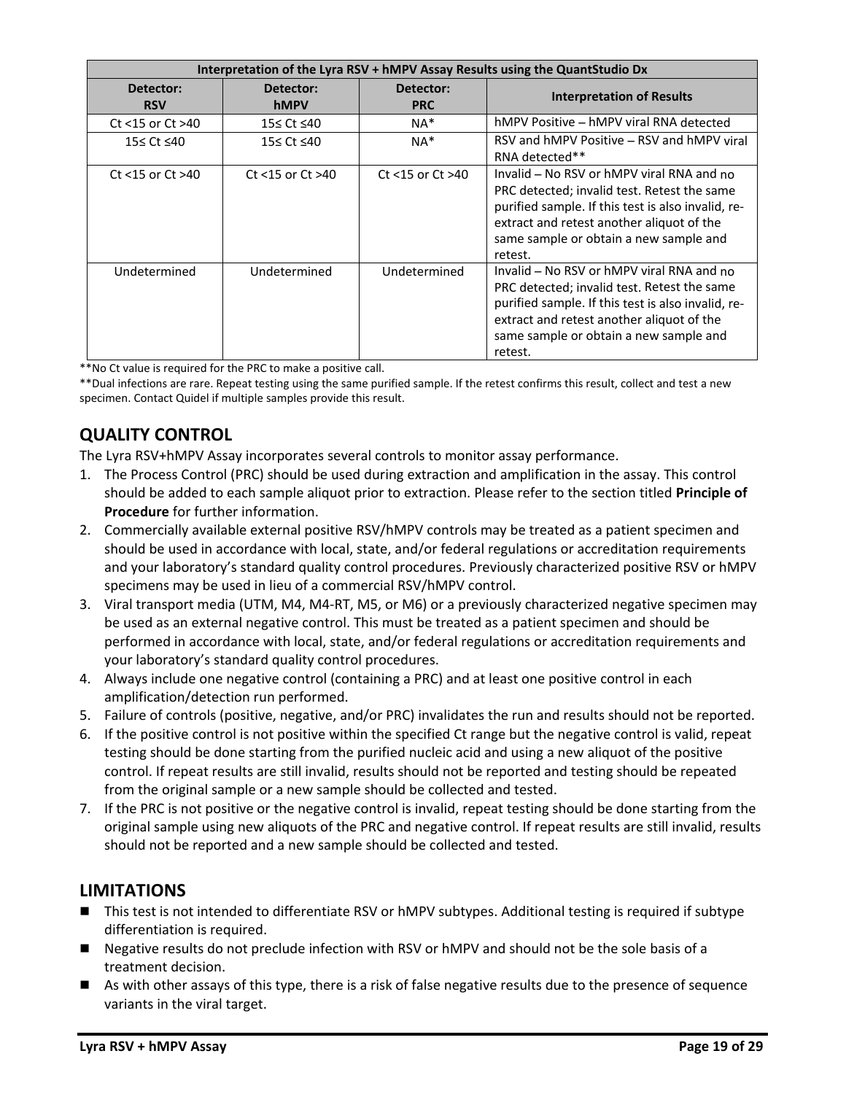| Interpretation of the Lyra RSV + hMPV Assay Results using the QuantStudio Dx |                        |                        |                                                                                                                                                                                                                                                  |  |  |  |  |
|------------------------------------------------------------------------------|------------------------|------------------------|--------------------------------------------------------------------------------------------------------------------------------------------------------------------------------------------------------------------------------------------------|--|--|--|--|
| Detector:                                                                    | Detector:              | Detector:              | <b>Interpretation of Results</b>                                                                                                                                                                                                                 |  |  |  |  |
| <b>RSV</b>                                                                   | hMPV                   | <b>PRC</b>             |                                                                                                                                                                                                                                                  |  |  |  |  |
| Ct <15 or Ct >40                                                             | 15≤ Ct ≤40             | $NA*$                  | hMPV Positive – hMPV viral RNA detected                                                                                                                                                                                                          |  |  |  |  |
| 15≤ Ct ≤40                                                                   | 15≤ Ct ≤40             | $NA*$                  | RSV and hMPV Positive – RSV and hMPV viral                                                                                                                                                                                                       |  |  |  |  |
|                                                                              |                        |                        | RNA detected**                                                                                                                                                                                                                                   |  |  |  |  |
| Ct $<$ 15 or Ct $>$ 40                                                       | Ct $<$ 15 or Ct $>$ 40 | Ct $<$ 15 or Ct $>$ 40 | Invalid – No RSV or hMPV viral RNA and no<br>PRC detected; invalid test. Retest the same<br>purified sample. If this test is also invalid, re-<br>extract and retest another aliquot of the<br>same sample or obtain a new sample and<br>retest. |  |  |  |  |
| Undetermined                                                                 | Undetermined           | Undetermined           | Invalid - No RSV or hMPV viral RNA and no<br>PRC detected; invalid test. Retest the same<br>purified sample. If this test is also invalid, re-<br>extract and retest another aliquot of the<br>same sample or obtain a new sample and<br>retest. |  |  |  |  |

\*\*No Ct value is required for the PRC to make a positive call.

\*\*Dual infections are rare. Repeat testing using the same purified sample. If the retest confirms this result, collect and test a new specimen. Contact Quidel if multiple samples provide this result.

# **QUALITY CONTROL**

The Lyra RSV+hMPV Assay incorporates several controls to monitor assay performance.

- 1. The Process Control (PRC) should be used during extraction and amplification in the assay. This control should be added to each sample aliquot prior to extraction. Please refer to the section titled **Principle of Procedure** for further information.
- 2. Commercially available external positive RSV/hMPV controls may be treated as a patient specimen and should be used in accordance with local, state, and/or federal regulations or accreditation requirements and your laboratory's standard quality control procedures. Previously characterized positive RSV or hMPV specimens may be used in lieu of a commercial RSV/hMPV control.
- 3. Viral transport media (UTM, M4, M4‐RT, M5, or M6) or a previously characterized negative specimen may be used as an external negative control. This must be treated as a patient specimen and should be performed in accordance with local, state, and/or federal regulations or accreditation requirements and your laboratory's standard quality control procedures.
- 4. Always include one negative control (containing a PRC) and at least one positive control in each amplification/detection run performed.
- 5. Failure of controls (positive, negative, and/or PRC) invalidates the run and results should not be reported.
- 6. If the positive control is not positive within the specified Ct range but the negative control is valid, repeat testing should be done starting from the purified nucleic acid and using a new aliquot of the positive control. If repeat results are still invalid, results should not be reported and testing should be repeated from the original sample or a new sample should be collected and tested.
- 7. If the PRC is not positive or the negative control is invalid, repeat testing should be done starting from the original sample using new aliquots of the PRC and negative control. If repeat results are still invalid, results should not be reported and a new sample should be collected and tested.

### **LIMITATIONS**

- This test is not intended to differentiate RSV or hMPV subtypes. Additional testing is required if subtype differentiation is required.
- Negative results do not preclude infection with RSV or hMPV and should not be the sole basis of a treatment decision.
- As with other assays of this type, there is a risk of false negative results due to the presence of sequence variants in the viral target.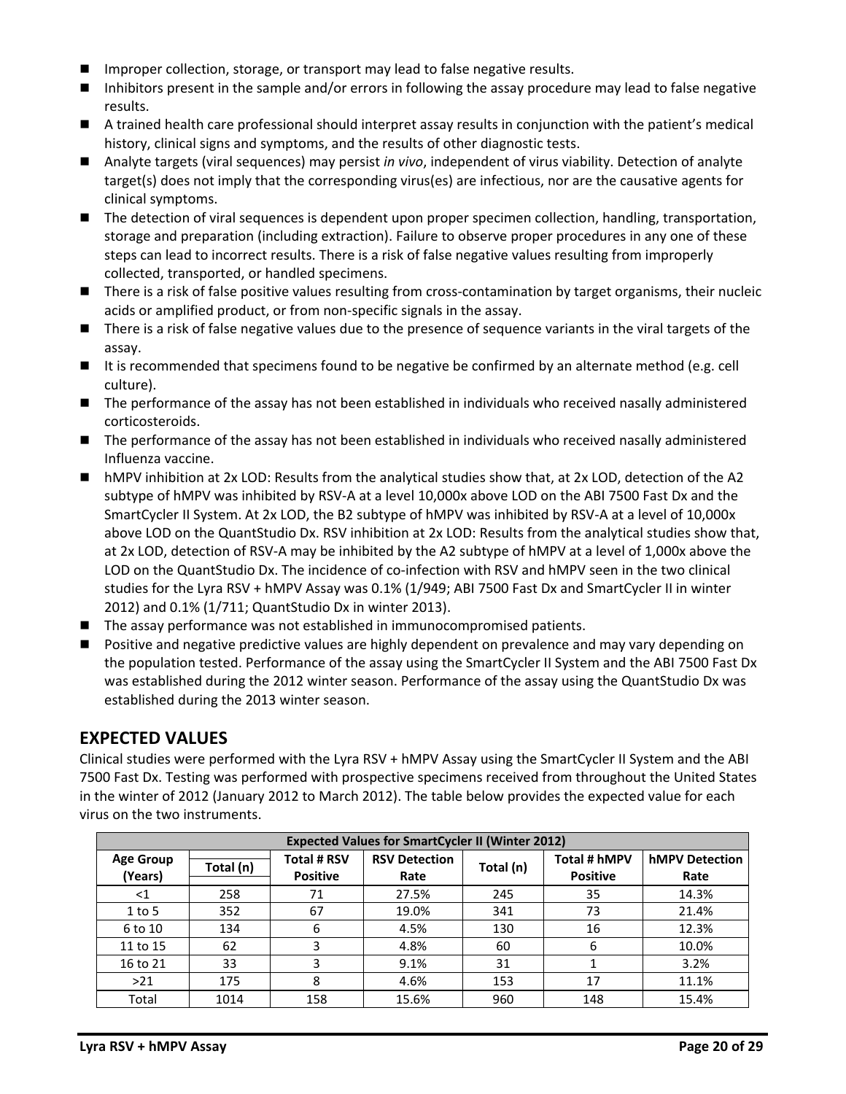- Improper collection, storage, or transport may lead to false negative results.
- Inhibitors present in the sample and/or errors in following the assay procedure may lead to false negative results.
- A trained health care professional should interpret assay results in conjunction with the patient's medical history, clinical signs and symptoms, and the results of other diagnostic tests.
- Analyte targets (viral sequences) may persist *in vivo*, independent of virus viability. Detection of analyte target(s) does not imply that the corresponding virus(es) are infectious, nor are the causative agents for clinical symptoms.
- The detection of viral sequences is dependent upon proper specimen collection, handling, transportation, storage and preparation (including extraction). Failure to observe proper procedures in any one of these steps can lead to incorrect results. There is a risk of false negative values resulting from improperly collected, transported, or handled specimens.
- There is a risk of false positive values resulting from cross-contamination by target organisms, their nucleic acids or amplified product, or from non‐specific signals in the assay.
- There is a risk of false negative values due to the presence of sequence variants in the viral targets of the assay.
- It is recommended that specimens found to be negative be confirmed by an alternate method (e.g. cell culture).
- The performance of the assay has not been established in individuals who received nasally administered corticosteroids.
- The performance of the assay has not been established in individuals who received nasally administered Influenza vaccine.
- hMPV inhibition at 2x LOD: Results from the analytical studies show that, at 2x LOD, detection of the A2 subtype of hMPV was inhibited by RSV-A at a level 10,000x above LOD on the ABI 7500 Fast Dx and the SmartCycler II System. At 2x LOD, the B2 subtype of hMPV was inhibited by RSV-A at a level of 10,000x above LOD on the QuantStudio Dx. RSV inhibition at 2x LOD: Results from the analytical studies show that, at 2x LOD, detection of RSV‐A may be inhibited by the A2 subtype of hMPV at a level of 1,000x above the LOD on the QuantStudio Dx. The incidence of co-infection with RSV and hMPV seen in the two clinical studies for the Lyra RSV + hMPV Assay was 0.1% (1/949; ABI 7500 Fast Dx and SmartCycler II in winter 2012) and 0.1% (1/711; QuantStudio Dx in winter 2013).
- The assay performance was not established in immunocompromised patients.
- Positive and negative predictive values are highly dependent on prevalence and may vary depending on the population tested. Performance of the assay using the SmartCycler II System and the ABI 7500 Fast Dx was established during the 2012 winter season. Performance of the assay using the QuantStudio Dx was established during the 2013 winter season.

### **EXPECTED VALUES**

Clinical studies were performed with the Lyra RSV + hMPV Assay using the SmartCycler II System and the ABI 7500 Fast Dx. Testing was performed with prospective specimens received from throughout the United States in the winter of 2012 (January 2012 to March 2012). The table below provides the expected value for each virus on the two instruments.

| <b>Expected Values for SmartCycler II (Winter 2012)</b> |           |                                       |                              |           |                                 |                               |  |  |
|---------------------------------------------------------|-----------|---------------------------------------|------------------------------|-----------|---------------------------------|-------------------------------|--|--|
| <b>Age Group</b><br>(Years)                             | Total (n) | <b>Total # RSV</b><br><b>Positive</b> | <b>RSV Detection</b><br>Rate | Total (n) | Total # hMPV<br><b>Positive</b> | <b>hMPV Detection</b><br>Rate |  |  |
| ${<}1$                                                  | 258       | 71                                    | 27.5%                        | 245       | 35                              | 14.3%                         |  |  |
| $1$ to 5                                                | 352       | 67                                    | 19.0%                        | 341       | 73                              | 21.4%                         |  |  |
| 6 to 10                                                 | 134       | 6                                     | 4.5%                         | 130       | 16                              | 12.3%                         |  |  |
| 11 to 15                                                | 62        |                                       | 4.8%                         | 60        | 6                               | 10.0%                         |  |  |
| 16 to 21                                                | 33        | 3                                     | 9.1%                         | 31        |                                 | 3.2%                          |  |  |
| $>21$                                                   | 175       | 8                                     | 4.6%                         | 153       | 17                              | 11.1%                         |  |  |
| Total                                                   | 1014      | 158                                   | 15.6%                        | 960       | 148                             | 15.4%                         |  |  |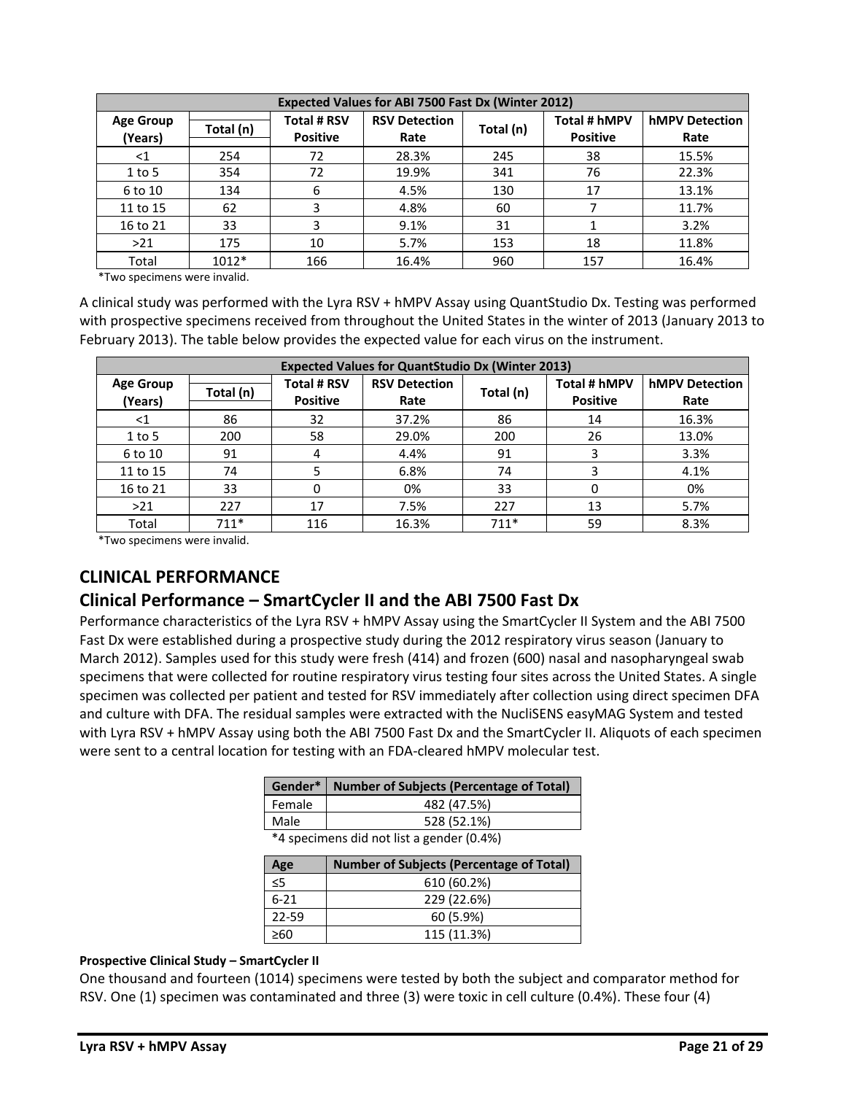| <b>Expected Values for ABI 7500 Fast Dx (Winter 2012)</b> |           |                                       |                              |           |                                 |                               |  |  |  |
|-----------------------------------------------------------|-----------|---------------------------------------|------------------------------|-----------|---------------------------------|-------------------------------|--|--|--|
| <b>Age Group</b><br>(Years)                               | Total (n) | <b>Total # RSV</b><br><b>Positive</b> | <b>RSV Detection</b><br>Rate | Total (n) | Total # hMPV<br><b>Positive</b> | <b>hMPV Detection</b><br>Rate |  |  |  |
| ${<}1$                                                    | 254       | 72                                    | 28.3%                        | 245       | 38                              | 15.5%                         |  |  |  |
| $1$ to 5                                                  | 354       | 72                                    | 19.9%                        | 341       | 76                              | 22.3%                         |  |  |  |
| 6 to 10                                                   | 134       | 6                                     | 4.5%                         | 130       | 17                              | 13.1%                         |  |  |  |
| 11 to 15                                                  | 62        | 3                                     | 4.8%                         | 60        |                                 | 11.7%                         |  |  |  |
| 16 to 21                                                  | 33        | 3                                     | 9.1%                         | 31        |                                 | 3.2%                          |  |  |  |
| >21                                                       | 175       | 10                                    | 5.7%                         | 153       | 18                              | 11.8%                         |  |  |  |
| Total                                                     | $1012*$   | 166                                   | 16.4%                        | 960       | 157                             | 16.4%                         |  |  |  |

\*Two specimens were invalid.

A clinical study was performed with the Lyra RSV + hMPV Assay using QuantStudio Dx. Testing was performed with prospective specimens received from throughout the United States in the winter of 2013 (January 2013 to February 2013). The table below provides the expected value for each virus on the instrument.

| <b>Expected Values for QuantStudio Dx (Winter 2013)</b> |           |                                       |                              |           |                                 |                               |  |  |
|---------------------------------------------------------|-----------|---------------------------------------|------------------------------|-----------|---------------------------------|-------------------------------|--|--|
| <b>Age Group</b><br>(Years)                             | Total (n) | <b>Total # RSV</b><br><b>Positive</b> | <b>RSV Detection</b><br>Rate | Total (n) | Total # hMPV<br><b>Positive</b> | <b>hMPV Detection</b><br>Rate |  |  |
| $<$ 1                                                   | 86        | 32                                    | 37.2%                        | 86        | 14                              | 16.3%                         |  |  |
| $1$ to 5                                                | 200       | 58                                    | 29.0%                        | 200       | 26                              | 13.0%                         |  |  |
| 6 to 10                                                 | 91        | 4                                     | 4.4%                         | 91        |                                 | 3.3%                          |  |  |
| 11 to 15                                                | 74        |                                       | 6.8%                         | 74        |                                 | 4.1%                          |  |  |
| 16 to 21                                                | 33        | 0                                     | 0%                           | 33        | 0                               | 0%                            |  |  |
| >21                                                     | 227       | 17                                    | 7.5%                         | 227       | 13                              | 5.7%                          |  |  |
| Total                                                   | $711*$    | 116                                   | 16.3%                        | $711*$    | 59                              | 8.3%                          |  |  |

\*Two specimens were invalid.

# **CLINICAL PERFORMANCE**

# **Clinical Performance – SmartCycler II and the ABI 7500 Fast Dx**

Performance characteristics of the Lyra RSV + hMPV Assay using the SmartCycler II System and the ABI 7500 Fast Dx were established during a prospective study during the 2012 respiratory virus season (January to March 2012). Samples used for this study were fresh (414) and frozen (600) nasal and nasopharyngeal swab specimens that were collected for routine respiratory virus testing four sites across the United States. A single specimen was collected per patient and tested for RSV immediately after collection using direct specimen DFA and culture with DFA. The residual samples were extracted with the NucliSENS easyMAG System and tested with Lyra RSV + hMPV Assay using both the ABI 7500 Fast Dx and the SmartCycler II. Aliquots of each specimen were sent to a central location for testing with an FDA‐cleared hMPV molecular test.

|                                           | Gender*   Number of Subjects (Percentage of Total) |  |  |  |  |
|-------------------------------------------|----------------------------------------------------|--|--|--|--|
| Female                                    | 482 (47.5%)                                        |  |  |  |  |
| Male                                      | 528 (52.1%)                                        |  |  |  |  |
| *4 specimens did not list a gender (0.4%) |                                                    |  |  |  |  |

| <b>Number of Subjects (Percentage of Total)</b> |
|-------------------------------------------------|
| 610 (60.2%)                                     |
| 229 (22.6%)                                     |
| 60 (5.9%)                                       |
| 115 (11.3%)                                     |
|                                                 |

#### **Prospective Clinical Study – SmartCycler II**

One thousand and fourteen (1014) specimens were tested by both the subject and comparator method for RSV. One (1) specimen was contaminated and three (3) were toxic in cell culture (0.4%). These four (4)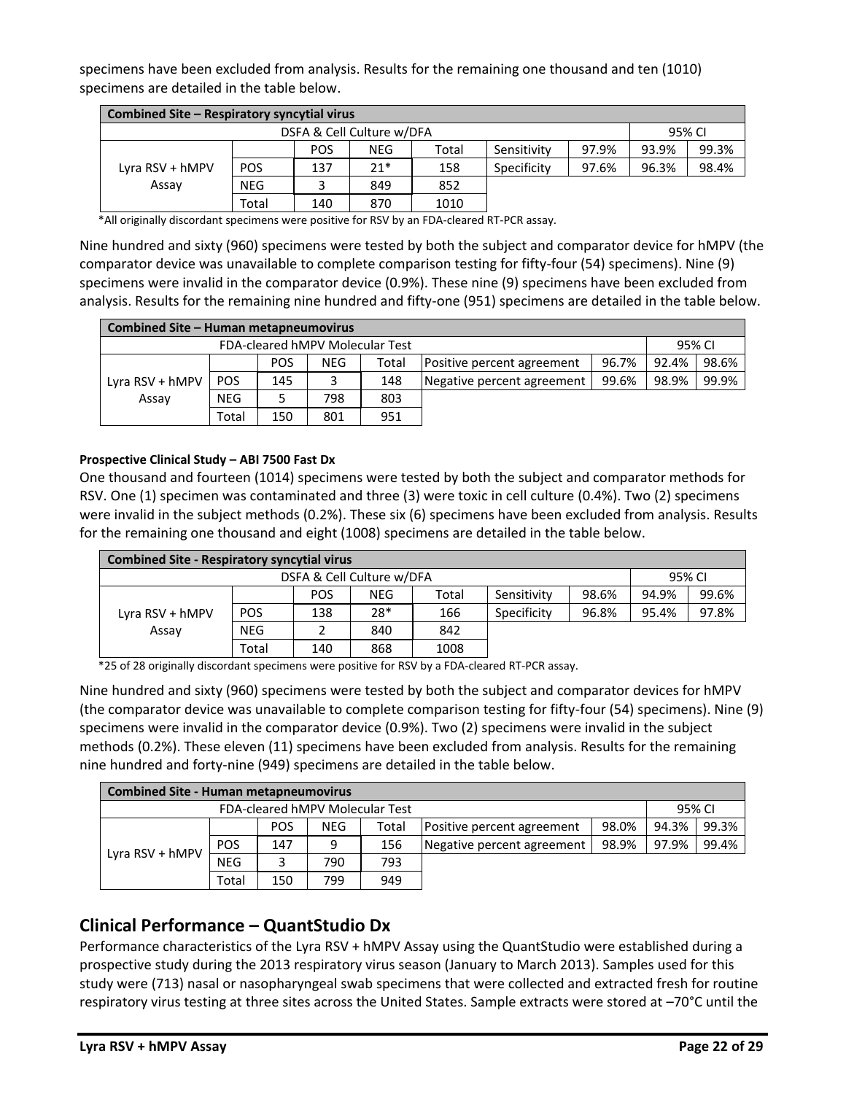specimens have been excluded from analysis. Results for the remaining one thousand and ten (1010) specimens are detailed in the table below.

| Combined Site – Respiratory syncytial virus |            |            |            |       |             |       |       |        |  |
|---------------------------------------------|------------|------------|------------|-------|-------------|-------|-------|--------|--|
| DSFA & Cell Culture w/DFA                   |            |            |            |       |             |       |       | 95% CI |  |
|                                             |            | <b>POS</b> | <b>NEG</b> | Total | Sensitivity | 97.9% | 93.9% | 99.3%  |  |
| Lyra RSV + hMPV                             | <b>POS</b> | 137        | $21*$      | 158   | Specificity | 97.6% | 96.3% | 98.4%  |  |
| Assay                                       | <b>NEG</b> |            | 849        | 852   |             |       |       |        |  |
|                                             | Total      | 140        | 870        | 1010  |             |       |       |        |  |

\*All originally discordant specimens were positive for RSV by an FDA-cleared RT-PCR assay.

Nine hundred and sixty (960) specimens were tested by both the subject and comparator device for hMPV (the comparator device was unavailable to complete comparison testing for fifty-four (54) specimens). Nine (9) specimens were invalid in the comparator device (0.9%). These nine (9) specimens have been excluded from analysis. Results for the remaining nine hundred and fifty-one (951) specimens are detailed in the table below.

| Combined Site - Human metapneumovirus |            |            |     |       |                            |       |       |        |  |
|---------------------------------------|------------|------------|-----|-------|----------------------------|-------|-------|--------|--|
| FDA-cleared hMPV Molecular Test       |            |            |     |       |                            |       |       | 95% CI |  |
|                                       |            | <b>POS</b> | NEG | Total | Positive percent agreement | 96.7% | 92.4% | 98.6%  |  |
| Lyra RSV + hMPV                       | <b>POS</b> | 145        |     | 148   | Negative percent agreement | 99.6% | 98.9% | 99.9%  |  |
| Assay                                 | <b>NEG</b> |            | 798 | 803   |                            |       |       |        |  |
|                                       | Total      | 150        | 801 | 951   |                            |       |       |        |  |

#### **Prospective Clinical Study – ABI 7500 Fast Dx**

One thousand and fourteen (1014) specimens were tested by both the subject and comparator methods for RSV. One (1) specimen was contaminated and three (3) were toxic in cell culture (0.4%). Two (2) specimens were invalid in the subject methods (0.2%). These six (6) specimens have been excluded from analysis. Results for the remaining one thousand and eight (1008) specimens are detailed in the table below.

| <b>Combined Site - Respiratory syncytial virus</b> |            |            |     |       |             |       |       |       |  |  |  |
|----------------------------------------------------|------------|------------|-----|-------|-------------|-------|-------|-------|--|--|--|
|                                                    | 95% CI     |            |     |       |             |       |       |       |  |  |  |
|                                                    |            | <b>POS</b> | NEG | Total | Sensitivity | 98.6% | 94.9% | 99.6% |  |  |  |
| Lyra RSV + hMPV                                    | <b>POS</b> | 138        | 28* | 166   | Specificity | 96.8% | 95.4% | 97.8% |  |  |  |
| Assay                                              | <b>NEG</b> |            | 840 | 842   |             |       |       |       |  |  |  |
|                                                    | Total      | 140        | 868 | 1008  |             |       |       |       |  |  |  |

\*25 of 28 originally discordant specimens were positive for RSV by a FDA-cleared RT-PCR assay.

Nine hundred and sixty (960) specimens were tested by both the subject and comparator devices for hMPV (the comparator device was unavailable to complete comparison testing for fifty-four (54) specimens). Nine (9) specimens were invalid in the comparator device (0.9%). Two (2) specimens were invalid in the subject methods (0.2%). These eleven (11) specimens have been excluded from analysis. Results for the remaining nine hundred and forty-nine (949) specimens are detailed in the table below.

| <b>Combined Site - Human metapneumovirus</b> |            |            |            |       |                            |       |       |       |  |  |  |
|----------------------------------------------|------------|------------|------------|-------|----------------------------|-------|-------|-------|--|--|--|
|                                              | 95% CI     |            |            |       |                            |       |       |       |  |  |  |
| Lyra RSV + hMPV                              |            | <b>POS</b> | <b>NEG</b> | Total | Positive percent agreement | 98.0% | 94.3% | 99.3% |  |  |  |
|                                              | <b>POS</b> | 147        | ٩          | 156   | Negative percent agreement | 98.9% | 97.9% | 99.4% |  |  |  |
|                                              | <b>NEG</b> |            | 790        | 793   |                            |       |       |       |  |  |  |
|                                              | Total      | 150        | 799        | 949   |                            |       |       |       |  |  |  |

### **Clinical Performance – QuantStudio Dx**

Performance characteristics of the Lyra RSV + hMPV Assay using the QuantStudio were established during a prospective study during the 2013 respiratory virus season (January to March 2013). Samples used for this study were (713) nasal or nasopharyngeal swab specimens that were collected and extracted fresh for routine respiratory virus testing at three sites across the United States. Sample extracts were stored at –70°C until the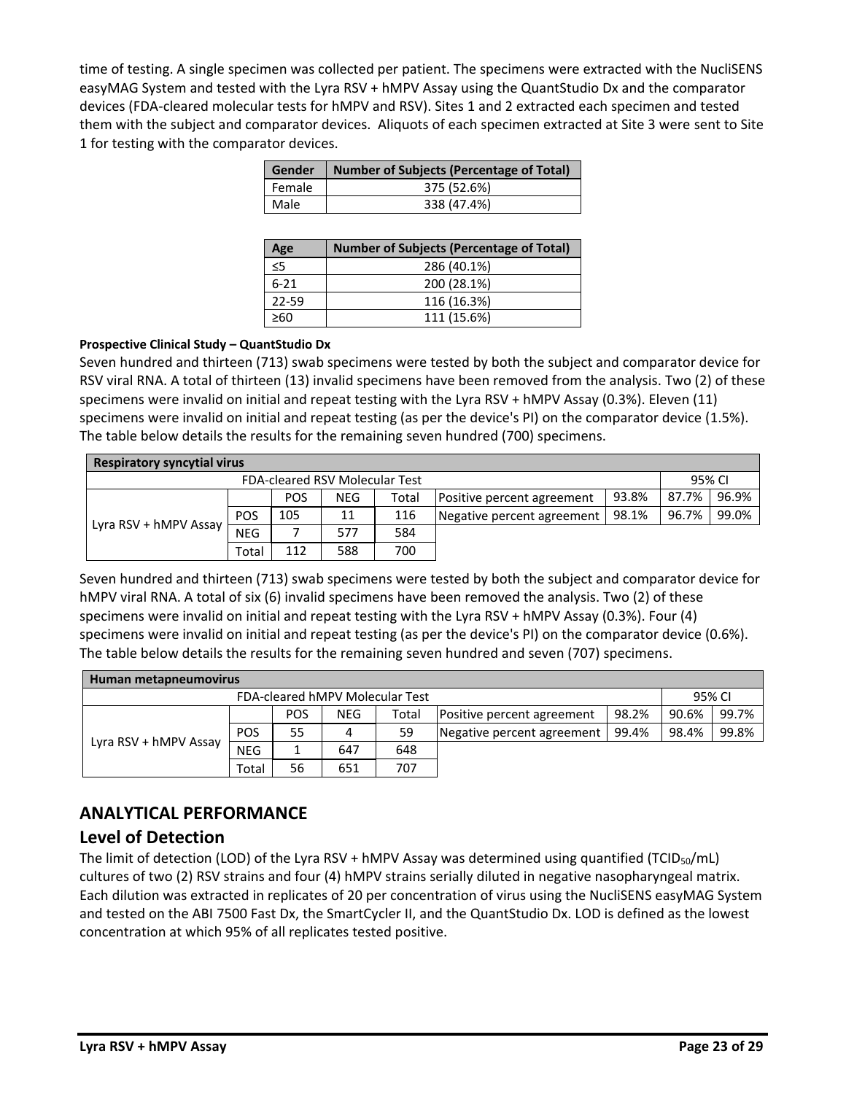time of testing. A single specimen was collected per patient. The specimens were extracted with the NucliSENS easyMAG System and tested with the Lyra RSV + hMPV Assay using the QuantStudio Dx and the comparator devices (FDA-cleared molecular tests for hMPV and RSV). Sites 1 and 2 extracted each specimen and tested them with the subject and comparator devices. Aliquots of each specimen extracted at Site 3 were sent to Site 1 for testing with the comparator devices.

|        | Gender   Number of Subjects (Percentage of Total) |
|--------|---------------------------------------------------|
| Female | 375 (52.6%)                                       |
| Male   | 338 (47.4%)                                       |

| Age       | <b>Number of Subjects (Percentage of Total)</b> |
|-----------|-------------------------------------------------|
| ≤5        | 286 (40.1%)                                     |
| $6 - 21$  | 200 (28.1%)                                     |
| $22 - 59$ | 116 (16.3%)                                     |
| >60       | 111 (15.6%)                                     |

#### **Prospective Clinical Study – QuantStudio Dx**

Seven hundred and thirteen (713) swab specimens were tested by both the subject and comparator device for RSV viral RNA. A total of thirteen (13) invalid specimens have been removed from the analysis. Two (2) of these specimens were invalid on initial and repeat testing with the Lyra RSV + hMPV Assay (0.3%). Eleven (11) specimens were invalid on initial and repeat testing (as per the device's PI) on the comparator device (1.5%). The table below details the results for the remaining seven hundred (700) specimens.

| <b>Respiratory syncytial virus</b>    |            |            |            |       |                            |       |       |       |  |  |  |
|---------------------------------------|------------|------------|------------|-------|----------------------------|-------|-------|-------|--|--|--|
| <b>FDA-cleared RSV Molecular Test</b> |            |            |            |       |                            |       |       |       |  |  |  |
|                                       |            | <b>POS</b> | <b>NEG</b> | Total | Positive percent agreement | 93.8% | 87.7% | 96.9% |  |  |  |
|                                       | <b>POS</b> | 105        | 11         | 116   | Negative percent agreement | 98.1% | 96.7% | 99.0% |  |  |  |
| Lyra RSV + $hMPV$ Assay               | <b>NEG</b> |            | 577        | 584   |                            |       |       |       |  |  |  |
|                                       | Total      | 112        | 588        | 700   |                            |       |       |       |  |  |  |

Seven hundred and thirteen (713) swab specimens were tested by both the subject and comparator device for hMPV viral RNA. A total of six (6) invalid specimens have been removed the analysis. Two (2) of these specimens were invalid on initial and repeat testing with the Lyra RSV + hMPV Assay (0.3%). Four (4) specimens were invalid on initial and repeat testing (as per the device's PI) on the comparator device (0.6%). The table below details the results for the remaining seven hundred and seven (707) specimens.

| Human metapneumovirus |            |            |            |       |                            |       |       |       |  |  |
|-----------------------|------------|------------|------------|-------|----------------------------|-------|-------|-------|--|--|
|                       | 95% CI     |            |            |       |                            |       |       |       |  |  |
|                       |            | <b>POS</b> | <b>NEG</b> | Total | Positive percent agreement | 98.2% | 90.6% | 99.7% |  |  |
|                       | <b>POS</b> | 55         | 4          | 59    | Negative percent agreement | 99.4% | 98.4% | 99.8% |  |  |
| Lyra RSV + hMPV Assay | <b>NEG</b> |            | 647        | 648   |                            |       |       |       |  |  |
|                       | Total      | 56         | 651        | 707   |                            |       |       |       |  |  |

# **ANALYTICAL PERFORMANCE**

### **Level of Detection**

The limit of detection (LOD) of the Lyra RSV + hMPV Assay was determined using quantified (TCID<sub>50</sub>/mL) cultures of two (2) RSV strains and four (4) hMPV strains serially diluted in negative nasopharyngeal matrix. Each dilution was extracted in replicates of 20 per concentration of virus using the NucliSENS easyMAG System and tested on the ABI 7500 Fast Dx, the SmartCycler II, and the QuantStudio Dx. LOD is defined as the lowest concentration at which 95% of all replicates tested positive.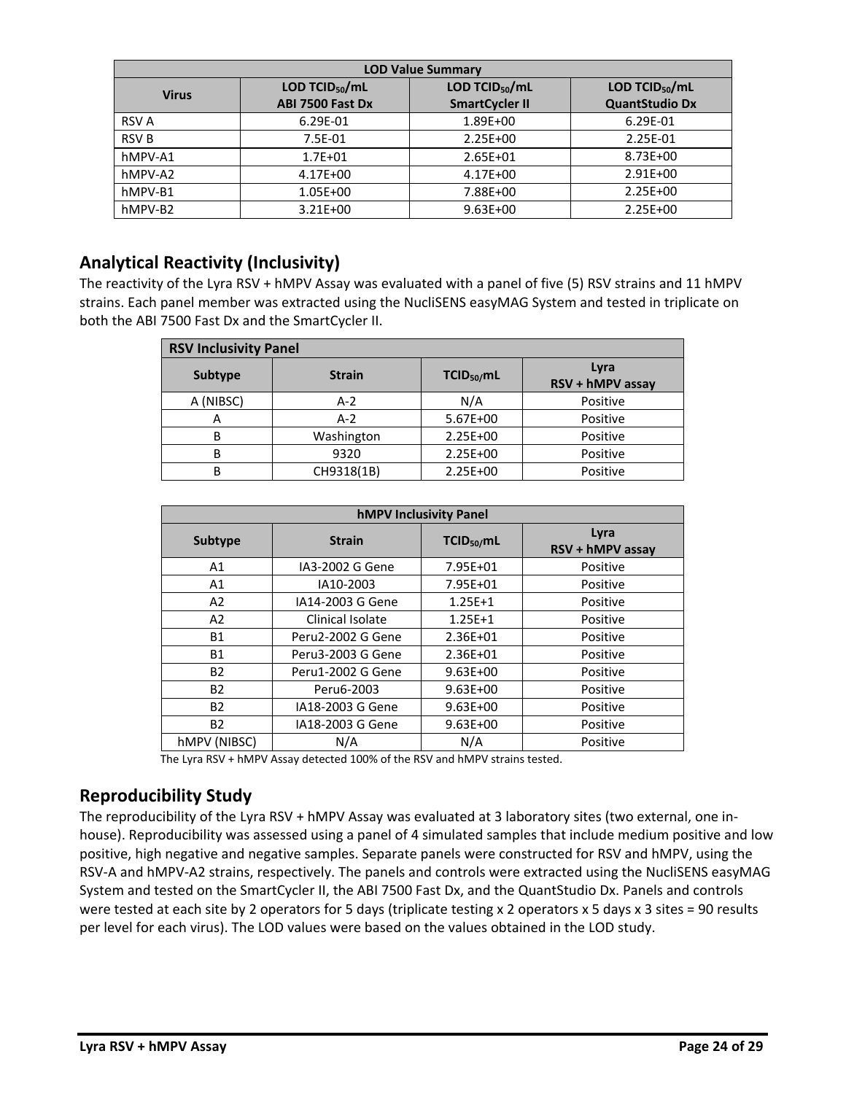| <b>LOD Value Summary</b> |                      |                       |                       |  |  |  |  |  |  |  |
|--------------------------|----------------------|-----------------------|-----------------------|--|--|--|--|--|--|--|
| <b>Virus</b>             | LOD TCID $_{50}$ /mL | LOD TCID $_{50}$ /mL  | LOD TCID $_{50}$ /mL  |  |  |  |  |  |  |  |
|                          | ABI 7500 Fast Dx     | <b>SmartCycler II</b> | <b>QuantStudio Dx</b> |  |  |  |  |  |  |  |
| <b>RSV A</b>             | 6.29E-01             | 1.89E+00              | 6.29E-01              |  |  |  |  |  |  |  |
| <b>RSVB</b>              | 7.5E-01              | $2.25E + 00$          | 2.25E-01              |  |  |  |  |  |  |  |
| hMPV-A1                  | $1.7E + 01$          | 2.65E+01              | 8.73E+00              |  |  |  |  |  |  |  |
| hMPV-A2                  | 4.17E+00             | 4.17E+00              | $2.91E + 00$          |  |  |  |  |  |  |  |
| hMPV-B1                  | 1.05E+00             | 7.88E+00              | $2.25E + 00$          |  |  |  |  |  |  |  |
| hMPV-B2                  | $3.21E + 00$         | $9.63E + 00$          | $2.25E + 00$          |  |  |  |  |  |  |  |

# **Analytical Reactivity (Inclusivity)**

The reactivity of the Lyra RSV + hMPV Assay was evaluated with a panel of five (5) RSV strains and 11 hMPV strains. Each panel member was extracted using the NucliSENS easyMAG System and tested in triplicate on both the ABI 7500 Fast Dx and the SmartCycler II.

| <b>RSV Inclusivity Panel</b> |               |                        |                          |  |  |  |  |  |  |  |  |
|------------------------------|---------------|------------------------|--------------------------|--|--|--|--|--|--|--|--|
| Subtype                      | <b>Strain</b> | TCID <sub>50</sub> /mL | Lyra<br>RSV + hMPV assay |  |  |  |  |  |  |  |  |
| A (NIBSC)                    | $A-2$         | N/A                    | Positive                 |  |  |  |  |  |  |  |  |
| А                            | $A-2$         | 5.67E+00               | Positive                 |  |  |  |  |  |  |  |  |
| B                            | Washington    | 2.25E+00               | Positive                 |  |  |  |  |  |  |  |  |
| B                            | 9320          | 2.25E+00               | Positive                 |  |  |  |  |  |  |  |  |
| B                            | CH9318(1B)    | 2.25E+00               | Positive                 |  |  |  |  |  |  |  |  |

| <b>hMPV Inclusivity Panel</b> |                   |                        |                          |  |  |  |  |  |  |  |
|-------------------------------|-------------------|------------------------|--------------------------|--|--|--|--|--|--|--|
| <b>Subtype</b>                | <b>Strain</b>     | TCID <sub>50</sub> /mL | Lyra<br>RSV + hMPV assay |  |  |  |  |  |  |  |
| A1                            | IA3-2002 G Gene   | 7.95E+01               | Positive                 |  |  |  |  |  |  |  |
| A1                            | IA10-2003         | 7.95E+01               | Positive                 |  |  |  |  |  |  |  |
| A2                            | IA14-2003 G Gene  | $1.25E+1$              | Positive                 |  |  |  |  |  |  |  |
| A2                            | Clinical Isolate  | $1.25E + 1$            | Positive                 |  |  |  |  |  |  |  |
| <b>B1</b>                     | Peru2-2002 G Gene | 2.36E+01               | Positive                 |  |  |  |  |  |  |  |
| <b>B1</b>                     | Peru3-2003 G Gene | 2.36E+01               | Positive                 |  |  |  |  |  |  |  |
| <b>B2</b>                     | Peru1-2002 G Gene | $9.63E + 00$           | Positive                 |  |  |  |  |  |  |  |
| B2                            | Peru6-2003        | $9.63E + 00$           | Positive                 |  |  |  |  |  |  |  |
| <b>B2</b>                     | IA18-2003 G Gene  | $9.63E + 00$           | Positive                 |  |  |  |  |  |  |  |
| <b>B2</b>                     | IA18-2003 G Gene  | $9.63E + 00$           | Positive                 |  |  |  |  |  |  |  |
| hMPV (NIBSC)                  | N/A               | N/A                    | Positive                 |  |  |  |  |  |  |  |

The Lyra RSV + hMPV Assay detected 100% of the RSV and hMPV strains tested.

### **Reproducibility Study**

The reproducibility of the Lyra RSV + hMPV Assay was evaluated at 3 laboratory sites (two external, one in‐ house). Reproducibility was assessed using a panel of 4 simulated samples that include medium positive and low positive, high negative and negative samples. Separate panels were constructed for RSV and hMPV, using the RSV-A and hMPV-A2 strains, respectively. The panels and controls were extracted using the NucliSENS easyMAG System and tested on the SmartCycler II, the ABI 7500 Fast Dx, and the QuantStudio Dx. Panels and controls were tested at each site by 2 operators for 5 days (triplicate testing x 2 operators x 5 days x 3 sites = 90 results per level for each virus). The LOD values were based on the values obtained in the LOD study.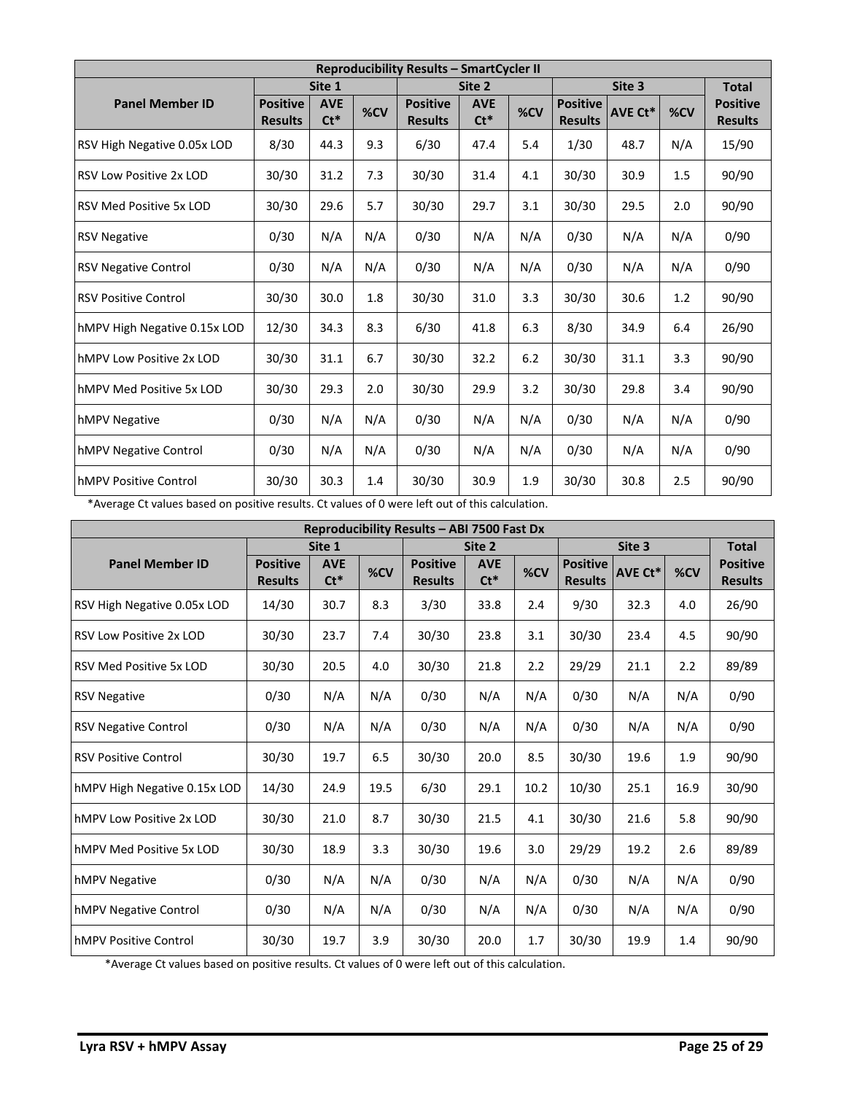| <b>Reproducibility Results - SmartCycler II</b> |                                   |                      |     |                                   |                      |     |                                   |                |     |                                   |  |
|-------------------------------------------------|-----------------------------------|----------------------|-----|-----------------------------------|----------------------|-----|-----------------------------------|----------------|-----|-----------------------------------|--|
|                                                 |                                   | Site 1               |     |                                   | Site 2               |     |                                   | Site 3         |     | <b>Total</b>                      |  |
| <b>Panel Member ID</b>                          | <b>Positive</b><br><b>Results</b> | <b>AVE</b><br>$Ct^*$ | %CV | <b>Positive</b><br><b>Results</b> | <b>AVE</b><br>$Ct^*$ | %CV | <b>Positive</b><br><b>Results</b> | <b>AVE Ct*</b> | %CV | <b>Positive</b><br><b>Results</b> |  |
| RSV High Negative 0.05x LOD                     | 8/30                              | 44.3                 | 9.3 | 6/30                              | 47.4                 | 5.4 | 1/30                              | 48.7           | N/A | 15/90                             |  |
| <b>RSV Low Positive 2x LOD</b>                  | 30/30                             | 31.2                 | 7.3 | 30/30                             | 31.4                 | 4.1 | 30/30                             | 30.9           | 1.5 | 90/90                             |  |
| <b>RSV Med Positive 5x LOD</b>                  | 30/30                             | 29.6                 | 5.7 | 30/30                             | 29.7                 | 3.1 | 30/30                             | 29.5           | 2.0 | 90/90                             |  |
| <b>RSV Negative</b>                             | 0/30                              | N/A                  | N/A | 0/30                              | N/A                  | N/A | 0/30                              | N/A            | N/A | 0/90                              |  |
| <b>RSV Negative Control</b>                     | 0/30                              | N/A                  | N/A | 0/30                              | N/A                  | N/A | 0/30                              | N/A            | N/A | 0/90                              |  |
| <b>RSV Positive Control</b>                     | 30/30                             | 30.0                 | 1.8 | 30/30                             | 31.0                 | 3.3 | 30/30                             | 30.6           | 1.2 | 90/90                             |  |
| hMPV High Negative 0.15x LOD                    | 12/30                             | 34.3                 | 8.3 | 6/30                              | 41.8                 | 6.3 | 8/30                              | 34.9           | 6.4 | 26/90                             |  |
| IhMPV Low Positive 2x LOD                       | 30/30                             | 31.1                 | 6.7 | 30/30                             | 32.2                 | 6.2 | 30/30                             | 31.1           | 3.3 | 90/90                             |  |
| hMPV Med Positive 5x LOD                        | 30/30                             | 29.3                 | 2.0 | 30/30                             | 29.9                 | 3.2 | 30/30                             | 29.8           | 3.4 | 90/90                             |  |
| <b>hMPV Negative</b>                            | 0/30                              | N/A                  | N/A | 0/30                              | N/A                  | N/A | 0/30                              | N/A            | N/A | 0/90                              |  |
| <b>hMPV Negative Control</b>                    | 0/30                              | N/A                  | N/A | 0/30                              | N/A                  | N/A | 0/30                              | N/A            | N/A | 0/90                              |  |
| <b>IhMPV Positive Control</b>                   | 30/30                             | 30.3                 | 1.4 | 30/30                             | 30.9                 | 1.9 | 30/30                             | 30.8           | 2.5 | 90/90                             |  |

\*Average Ct values based on positive results. Ct values of 0 were left out of this calculation.

| Reproducibility Results - ABI 7500 Fast Dx |                                   |                      |      |                                   |                      |      |                                   |         |      |                                   |  |  |
|--------------------------------------------|-----------------------------------|----------------------|------|-----------------------------------|----------------------|------|-----------------------------------|---------|------|-----------------------------------|--|--|
|                                            |                                   | Site 1               |      |                                   | Site 2               |      |                                   | Site 3  |      | <b>Total</b>                      |  |  |
| <b>Panel Member ID</b>                     | <b>Positive</b><br><b>Results</b> | <b>AVE</b><br>$Ct^*$ | %CV  | <b>Positive</b><br><b>Results</b> | <b>AVE</b><br>$Ct^*$ | %CV  | <b>Positive</b><br><b>Results</b> | AVE Ct* | %CV  | <b>Positive</b><br><b>Results</b> |  |  |
| RSV High Negative 0.05x LOD                | 14/30                             | 30.7                 | 8.3  | 3/30                              | 33.8                 | 2.4  | 9/30                              | 32.3    | 4.0  | 26/90                             |  |  |
| <b>RSV Low Positive 2x LOD</b>             | 30/30                             | 23.7                 | 7.4  | 30/30                             | 23.8                 | 3.1  | 30/30                             | 23.4    | 4.5  | 90/90                             |  |  |
| <b>RSV Med Positive 5x LOD</b>             | 30/30                             | 20.5                 | 4.0  | 30/30                             | 21.8                 | 2.2  | 29/29                             | 21.1    | 2.2  | 89/89                             |  |  |
| <b>RSV Negative</b>                        | 0/30                              | N/A                  | N/A  | 0/30                              | N/A                  | N/A  | 0/30                              | N/A     | N/A  | 0/90                              |  |  |
| <b>RSV Negative Control</b>                | 0/30                              | N/A                  | N/A  | 0/30                              | N/A                  | N/A  | 0/30                              | N/A     | N/A  | 0/90                              |  |  |
| <b>RSV Positive Control</b>                | 30/30                             | 19.7                 | 6.5  | 30/30                             | 20.0                 | 8.5  | 30/30                             | 19.6    | 1.9  | 90/90                             |  |  |
| hMPV High Negative 0.15x LOD               | 14/30                             | 24.9                 | 19.5 | 6/30                              | 29.1                 | 10.2 | 10/30                             | 25.1    | 16.9 | 30/90                             |  |  |
| hMPV Low Positive 2x LOD                   | 30/30                             | 21.0                 | 8.7  | 30/30                             | 21.5                 | 4.1  | 30/30                             | 21.6    | 5.8  | 90/90                             |  |  |
| hMPV Med Positive 5x LOD                   | 30/30                             | 18.9                 | 3.3  | 30/30                             | 19.6                 | 3.0  | 29/29                             | 19.2    | 2.6  | 89/89                             |  |  |
| hMPV Negative                              | 0/30                              | N/A                  | N/A  | 0/30                              | N/A                  | N/A  | 0/30                              | N/A     | N/A  | 0/90                              |  |  |
| hMPV Negative Control                      | 0/30                              | N/A                  | N/A  | 0/30                              | N/A                  | N/A  | 0/30                              | N/A     | N/A  | 0/90                              |  |  |
| <b>hMPV Positive Control</b>               | 30/30                             | 19.7                 | 3.9  | 30/30                             | 20.0                 | 1.7  | 30/30                             | 19.9    | 1.4  | 90/90                             |  |  |

\*Average Ct values based on positive results. Ct values of 0 were left out of this calculation.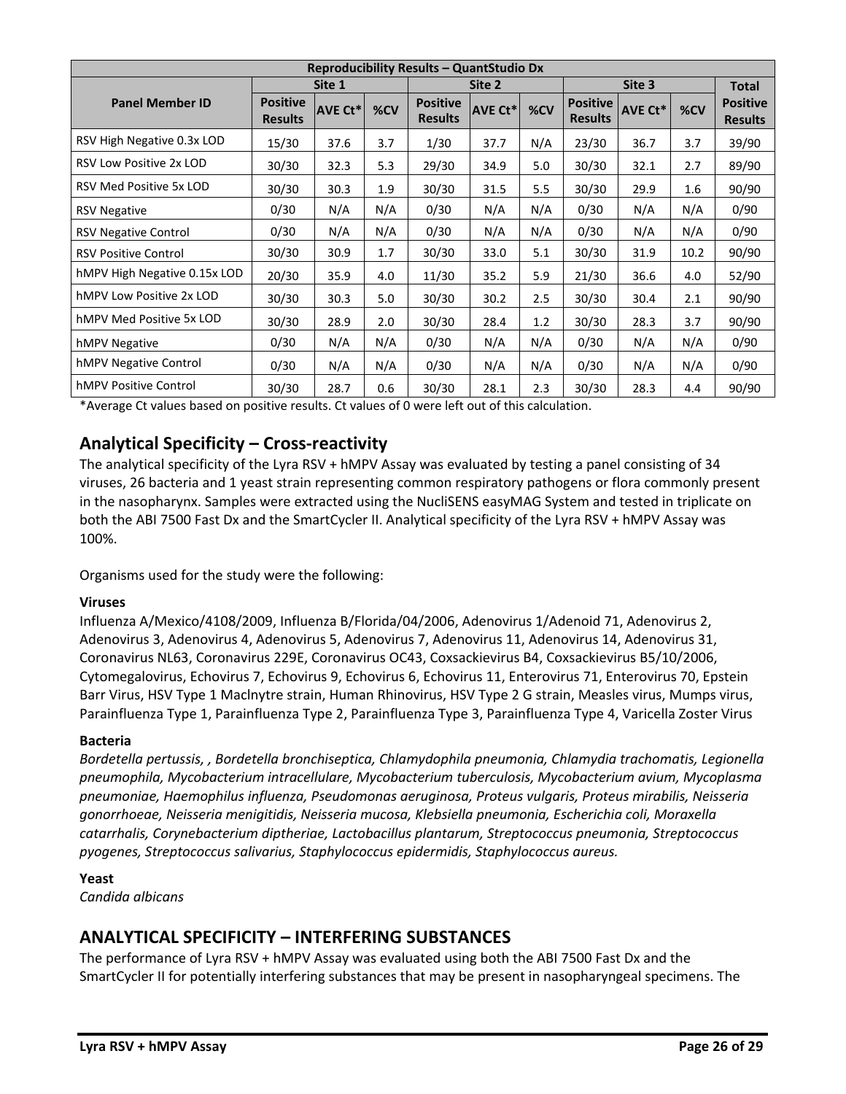| Reproducibility Results - QuantStudio Dx |                                   |                |     |                                   |         |     |                                   |                |      |                                   |  |
|------------------------------------------|-----------------------------------|----------------|-----|-----------------------------------|---------|-----|-----------------------------------|----------------|------|-----------------------------------|--|
|                                          | Site 1                            |                |     |                                   | Site 2  |     |                                   | Site 3         |      | <b>Total</b>                      |  |
| <b>Panel Member ID</b>                   | <b>Positive</b><br><b>Results</b> | <b>AVE Ct*</b> | %CV | <b>Positive</b><br><b>Results</b> | AVE Ct* | %CV | <b>Positive</b><br><b>Results</b> | <b>AVE Ct*</b> | %CV  | <b>Positive</b><br><b>Results</b> |  |
| RSV High Negative 0.3x LOD               | 15/30                             | 37.6           | 3.7 | 1/30                              | 37.7    | N/A | 23/30                             | 36.7           | 3.7  | 39/90                             |  |
| <b>RSV Low Positive 2x LOD</b>           | 30/30                             | 32.3           | 5.3 | 29/30                             | 34.9    | 5.0 | 30/30                             | 32.1           | 2.7  | 89/90                             |  |
| <b>RSV Med Positive 5x LOD</b>           | 30/30                             | 30.3           | 1.9 | 30/30                             | 31.5    | 5.5 | 30/30                             | 29.9           | 1.6  | 90/90                             |  |
| <b>RSV Negative</b>                      | 0/30                              | N/A            | N/A | 0/30                              | N/A     | N/A | 0/30                              | N/A            | N/A  | 0/90                              |  |
| <b>RSV Negative Control</b>              | 0/30                              | N/A            | N/A | 0/30                              | N/A     | N/A | 0/30                              | N/A            | N/A  | 0/90                              |  |
| <b>RSV Positive Control</b>              | 30/30                             | 30.9           | 1.7 | 30/30                             | 33.0    | 5.1 | 30/30                             | 31.9           | 10.2 | 90/90                             |  |
| hMPV High Negative 0.15x LOD             | 20/30                             | 35.9           | 4.0 | 11/30                             | 35.2    | 5.9 | 21/30                             | 36.6           | 4.0  | 52/90                             |  |
| hMPV Low Positive 2x LOD                 | 30/30                             | 30.3           | 5.0 | 30/30                             | 30.2    | 2.5 | 30/30                             | 30.4           | 2.1  | 90/90                             |  |
| hMPV Med Positive 5x LOD                 | 30/30                             | 28.9           | 2.0 | 30/30                             | 28.4    | 1.2 | 30/30                             | 28.3           | 3.7  | 90/90                             |  |
| hMPV Negative                            | 0/30                              | N/A            | N/A | 0/30                              | N/A     | N/A | 0/30                              | N/A            | N/A  | 0/90                              |  |
| hMPV Negative Control                    | 0/30                              | N/A            | N/A | 0/30                              | N/A     | N/A | 0/30                              | N/A            | N/A  | 0/90                              |  |
| <b>hMPV Positive Control</b>             | 30/30                             | 28.7           | 0.6 | 30/30                             | 28.1    | 2.3 | 30/30                             | 28.3           | 4.4  | 90/90                             |  |

\*Average Ct values based on positive results. Ct values of 0 were left out of this calculation.

# **Analytical Specificity – Cross-reactivity**

The analytical specificity of the Lyra RSV + hMPV Assay was evaluated by testing a panel consisting of 34 viruses, 26 bacteria and 1 yeast strain representing common respiratory pathogens or flora commonly present in the nasopharynx. Samples were extracted using the NucliSENS easyMAG System and tested in triplicate on both the ABI 7500 Fast Dx and the SmartCycler II. Analytical specificity of the Lyra RSV + hMPV Assay was 100%.

Organisms used for the study were the following:

### **Viruses**

Influenza A/Mexico/4108/2009, Influenza B/Florida/04/2006, Adenovirus 1/Adenoid 71, Adenovirus 2, Adenovirus 3, Adenovirus 4, Adenovirus 5, Adenovirus 7, Adenovirus 11, Adenovirus 14, Adenovirus 31, Coronavirus NL63, Coronavirus 229E, Coronavirus OC43, Coxsackievirus B4, Coxsackievirus B5/10/2006, Cytomegalovirus, Echovirus 7, Echovirus 9, Echovirus 6, Echovirus 11, Enterovirus 71, Enterovirus 70, Epstein Barr Virus, HSV Type 1 Maclnytre strain, Human Rhinovirus, HSV Type 2 G strain, Measles virus, Mumps virus, Parainfluenza Type 1, Parainfluenza Type 2, Parainfluenza Type 3, Parainfluenza Type 4, Varicella Zoster Virus

#### **Bacteria**

*Bordetella pertussis, , Bordetella bronchiseptica, Chlamydophila pneumonia, Chlamydia trachomatis, Legionella pneumophila, Mycobacterium intracellulare, Mycobacterium tuberculosis, Mycobacterium avium, Mycoplasma pneumoniae, Haemophilus influenza, Pseudomonas aeruginosa, Proteus vulgaris, Proteus mirabilis, Neisseria gonorrhoeae, Neisseria menigitidis, Neisseria mucosa, Klebsiella pneumonia, Escherichia coli, Moraxella catarrhalis, Corynebacterium diptheriae, Lactobacillus plantarum, Streptococcus pneumonia, Streptococcus pyogenes, Streptococcus salivarius, Staphylococcus epidermidis, Staphylococcus aureus.*

### **Yeast**

*Candida albicans*

### **ANALYTICAL SPECIFICITY – INTERFERING SUBSTANCES**

The performance of Lyra RSV + hMPV Assay was evaluated using both the ABI 7500 Fast Dx and the SmartCycler II for potentially interfering substances that may be present in nasopharyngeal specimens. The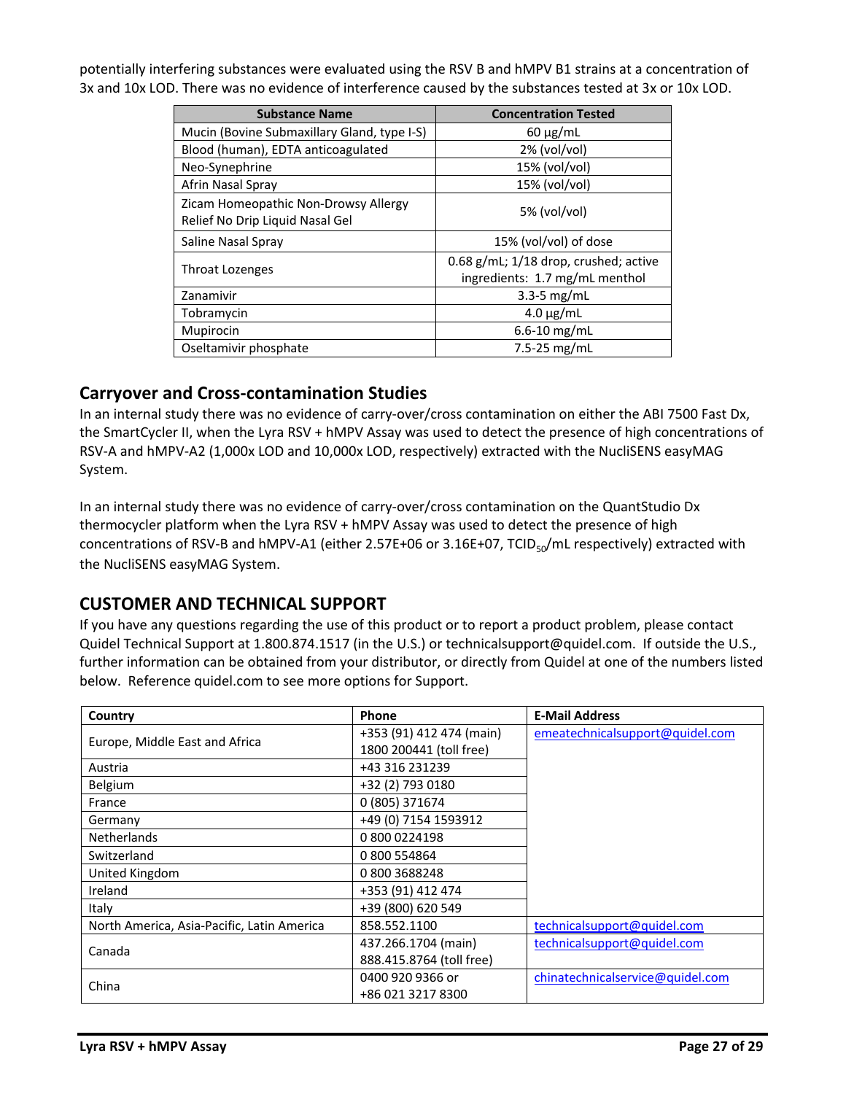potentially interfering substances were evaluated using the RSV B and hMPV B1 strains at a concentration of 3x and 10x LOD. There was no evidence of interference caused by the substances tested at 3x or 10x LOD.

| <b>Substance Name</b>                                                   | <b>Concentration Tested</b>                                                 |
|-------------------------------------------------------------------------|-----------------------------------------------------------------------------|
| Mucin (Bovine Submaxillary Gland, type I-S)                             | $60 \mu g/mL$                                                               |
| Blood (human), EDTA anticoagulated                                      | $2\%$ (vol/vol)                                                             |
| Neo-Synephrine                                                          | 15% (vol/vol)                                                               |
| Afrin Nasal Spray                                                       | 15% (vol/vol)                                                               |
| Zicam Homeopathic Non-Drowsy Allergy<br>Relief No Drip Liquid Nasal Gel | 5% (vol/vol)                                                                |
| Saline Nasal Spray                                                      | 15% (vol/vol) of dose                                                       |
| Throat Lozenges                                                         | $0.68$ g/mL; $1/18$ drop, crushed; active<br>ingredients: 1.7 mg/mL menthol |
| Zanamivir                                                               | $3.3 - 5$ mg/mL                                                             |
| Tobramycin                                                              | $4.0 \mu g/mL$                                                              |
| Mupirocin                                                               | $6.6 - 10$ mg/mL                                                            |
| Oseltamivir phosphate                                                   | 7.5-25 $mg/mL$                                                              |

### **Carryover and Cross-contamination Studies**

In an internal study there was no evidence of carry-over/cross contamination on either the ABI 7500 Fast Dx, the SmartCycler II, when the Lyra RSV + hMPV Assay was used to detect the presence of high concentrations of RSV‐A and hMPV‐A2 (1,000x LOD and 10,000x LOD, respectively) extracted with the NucliSENS easyMAG System.

In an internal study there was no evidence of carry-over/cross contamination on the QuantStudio Dx thermocycler platform when the Lyra RSV + hMPV Assay was used to detect the presence of high concentrations of RSV-B and hMPV-A1 (either 2.57E+06 or 3.16E+07, TCID<sub>50</sub>/mL respectively) extracted with the NucliSENS easyMAG System.

### **CUSTOMER AND TECHNICAL SUPPORT**

If you have any questions regarding the use of this product or to report a product problem, please contact Quidel Technical Support at 1.800.874.1517 (in the U.S.) or technicalsupport@quidel.com. If outside the U.S., further information can be obtained from your distributor, or directly from Quidel at one of the numbers listed below. Reference quidel.com to see more options for Support.

| Country                                    | Phone                    | <b>E-Mail Address</b>            |
|--------------------------------------------|--------------------------|----------------------------------|
|                                            | +353 (91) 412 474 (main) | emeatechnicalsupport@quidel.com  |
| Europe, Middle East and Africa             | 1800 200441 (toll free)  |                                  |
| Austria                                    | +43 316 231239           |                                  |
| Belgium                                    | +32 (2) 793 0180         |                                  |
| France                                     | 0 (805) 371674           |                                  |
| Germany                                    | +49 (0) 7154 1593912     |                                  |
| <b>Netherlands</b>                         | 0 800 0224198            |                                  |
| Switzerland                                | 0 800 554864             |                                  |
| United Kingdom                             | 08003688248              |                                  |
| Ireland                                    | +353 (91) 412 474        |                                  |
| Italy                                      | +39 (800) 620 549        |                                  |
| North America, Asia-Pacific, Latin America | 858.552.1100             | technicalsupport@quidel.com      |
|                                            | 437.266.1704 (main)      | technicalsupport@quidel.com      |
| Canada                                     | 888.415.8764 (toll free) |                                  |
|                                            | 0400 920 9366 or         | chinatechnicalservice@quidel.com |
| China                                      | +86 021 3217 8300        |                                  |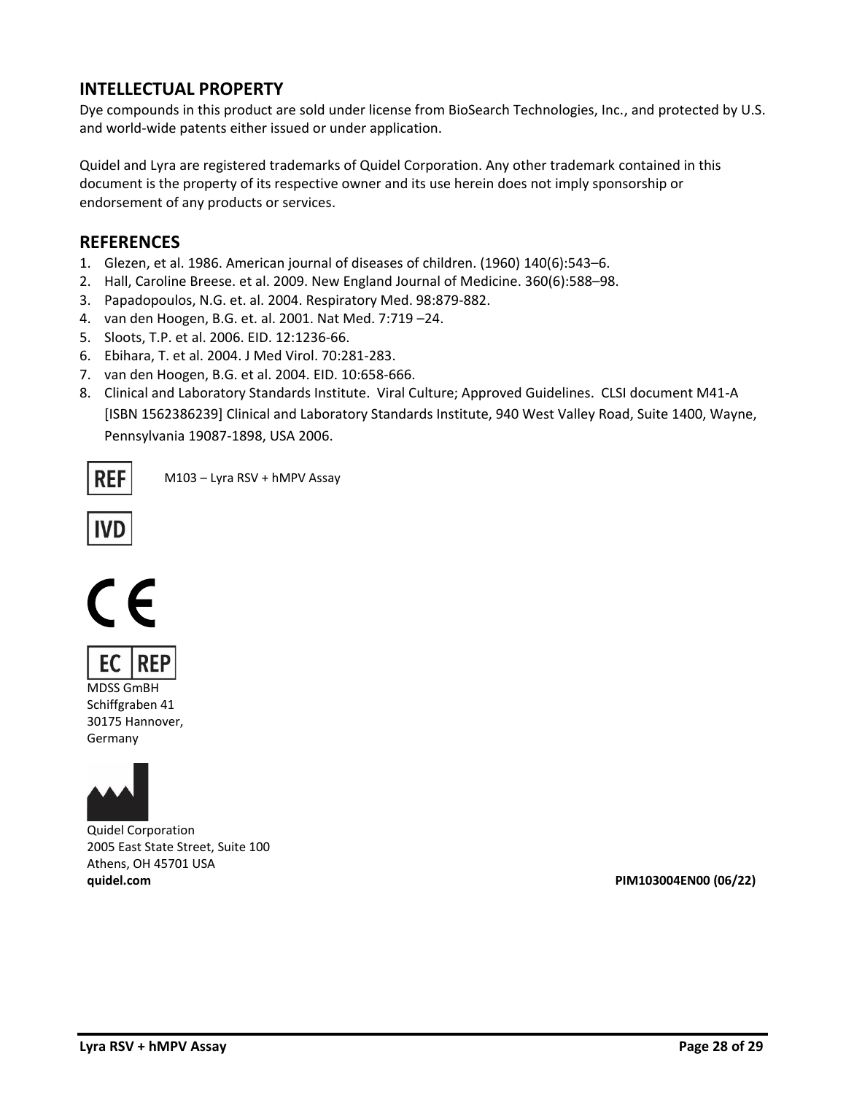## **INTELLECTUAL PROPERTY**

Dye compounds in this product are sold under license from BioSearch Technologies, Inc., and protected by U.S. and world-wide patents either issued or under application.

Quidel and Lyra are registered trademarks of Quidel Corporation. Any other trademark contained in this document is the property of its respective owner and its use herein does not imply sponsorship or endorsement of any products or services.

### **REFERENCES**

- 1. Glezen, et al. 1986. American journal of diseases of children. (1960) 140(6):543–6.
- 2. Hall, Caroline Breese. et al. 2009. New England Journal of Medicine. 360(6):588–98.
- 3. Papadopoulos, N.G. et. al. 2004. Respiratory Med. 98:879-882.
- 4. van den Hoogen, B.G. et. al. 2001. Nat Med. 7:719 –24.
- 5. Sloots, T.P. et al. 2006. EID. 12:1236-66.
- 6. Ebihara, T. et al. 2004. J Med Virol. 70:281-283.
- 7. van den Hoogen, B.G. et al. 2004. EID. 10:658-666.
- 8. Clinical and Laboratory Standards Institute. Viral Culture; Approved Guidelines. CLSI document M41-A [ISBN 1562386239] Clinical and Laboratory Standards Institute, 940 West Valley Road, Suite 1400, Wayne, Pennsylvania 19087-1898, USA 2006.

REF

M103 – Lyra RSV + hMPV Assay

$$
\fbox{\textsf{IVD}}
$$





MDSS GmBH Schiffgraben 41 30175 Hannover, Germany



Quidel Corporation 2005 East State Street, Suite 100 Athens, OH 45701 USA **quidel.com PIM103004EN00 (06/22)**